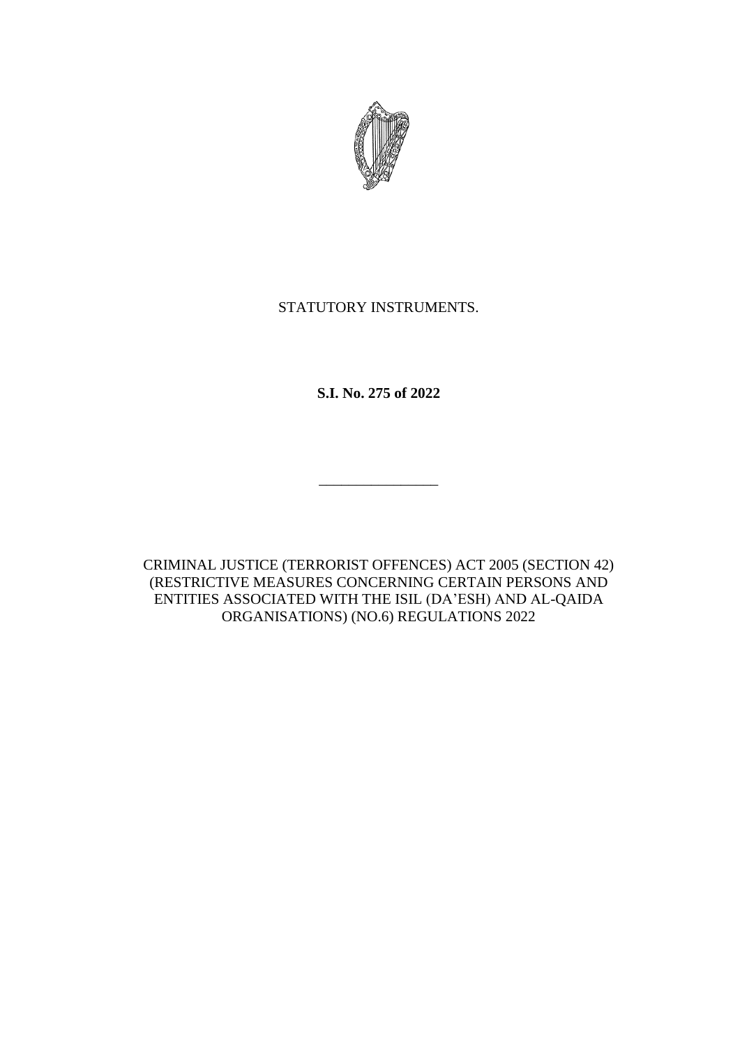

# STATUTORY INSTRUMENTS.

**S.I. No. 275 of 2022**

CRIMINAL JUSTICE (TERRORIST OFFENCES) ACT 2005 (SECTION 42) (RESTRICTIVE MEASURES CONCERNING CERTAIN PERSONS AND ENTITIES ASSOCIATED WITH THE ISIL (DA'ESH) AND AL-QAIDA ORGANISATIONS) (NO.6) REGULATIONS 2022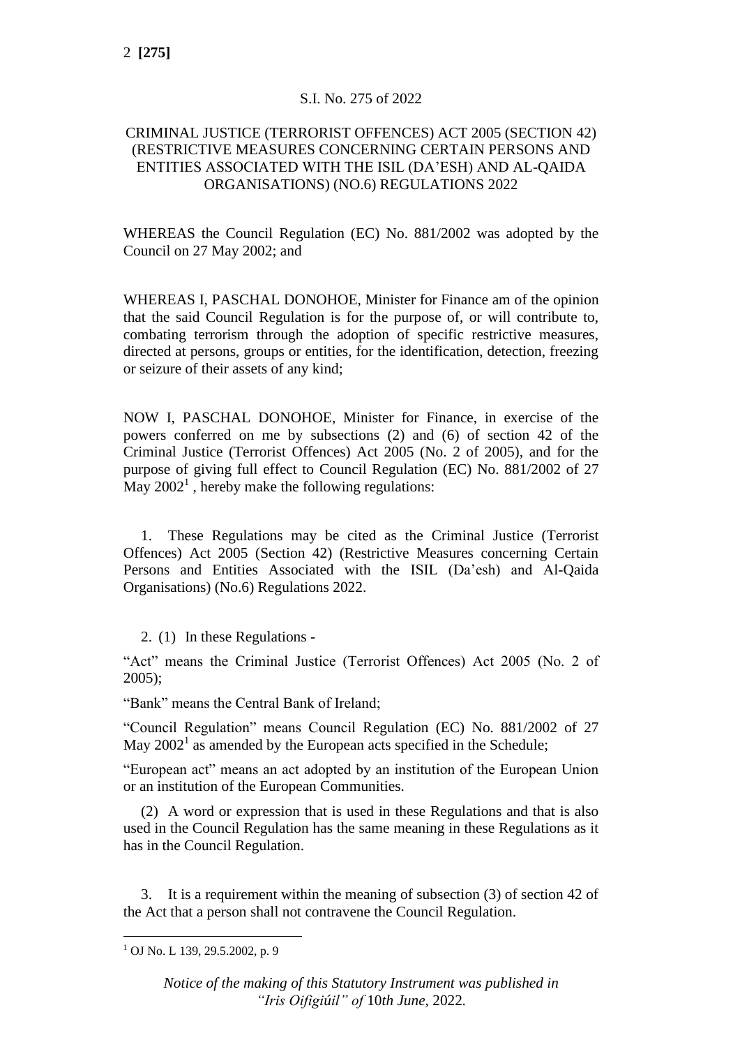### S.I. No. 275 of 2022

### CRIMINAL JUSTICE (TERRORIST OFFENCES) ACT 2005 (SECTION 42) (RESTRICTIVE MEASURES CONCERNING CERTAIN PERSONS AND ENTITIES ASSOCIATED WITH THE ISIL (DA'ESH) AND AL-QAIDA ORGANISATIONS) (NO.6) REGULATIONS 2022

WHEREAS the Council Regulation (EC) No. 881/2002 was adopted by the Council on 27 May 2002; and

WHEREAS I, PASCHAL DONOHOE, Minister for Finance am of the opinion that the said Council Regulation is for the purpose of, or will contribute to, combating terrorism through the adoption of specific restrictive measures, directed at persons, groups or entities, for the identification, detection, freezing or seizure of their assets of any kind;

NOW I, PASCHAL DONOHOE, Minister for Finance, in exercise of the powers conferred on me by subsections (2) and (6) of section 42 of the Criminal Justice (Terrorist Offences) Act 2005 (No. 2 of 2005), and for the purpose of giving full effect to Council Regulation (EC) No. 881/2002 of 27 May  $2002<sup>1</sup>$ , hereby make the following regulations:

1. These Regulations may be cited as the Criminal Justice (Terrorist Offences) Act 2005 (Section 42) (Restrictive Measures concerning Certain Persons and Entities Associated with the ISIL (Da'esh) and Al-Qaida Organisations) (No.6) Regulations 2022.

2. (1) In these Regulations -

"Act" means the Criminal Justice (Terrorist Offences) Act 2005 (No. 2 of 2005);

"Bank" means the Central Bank of Ireland;

"Council Regulation" means Council Regulation (EC) No. 881/2002 of 27 May  $2002<sup>1</sup>$  as amended by the European acts specified in the Schedule;

"European act" means an act adopted by an institution of the European Union or an institution of the European Communities.

(2) A word or expression that is used in these Regulations and that is also used in the Council Regulation has the same meaning in these Regulations as it has in the Council Regulation.

3. It is a requirement within the meaning of subsection (3) of section 42 of the Act that a person shall not contravene the Council Regulation.

*Notice of the making of this Statutory Instrument was published in "Iris Oifigiúil" of* 10*th June,* 2022*.*

<sup>1</sup> OJ No. L 139, 29.5.2002, p. 9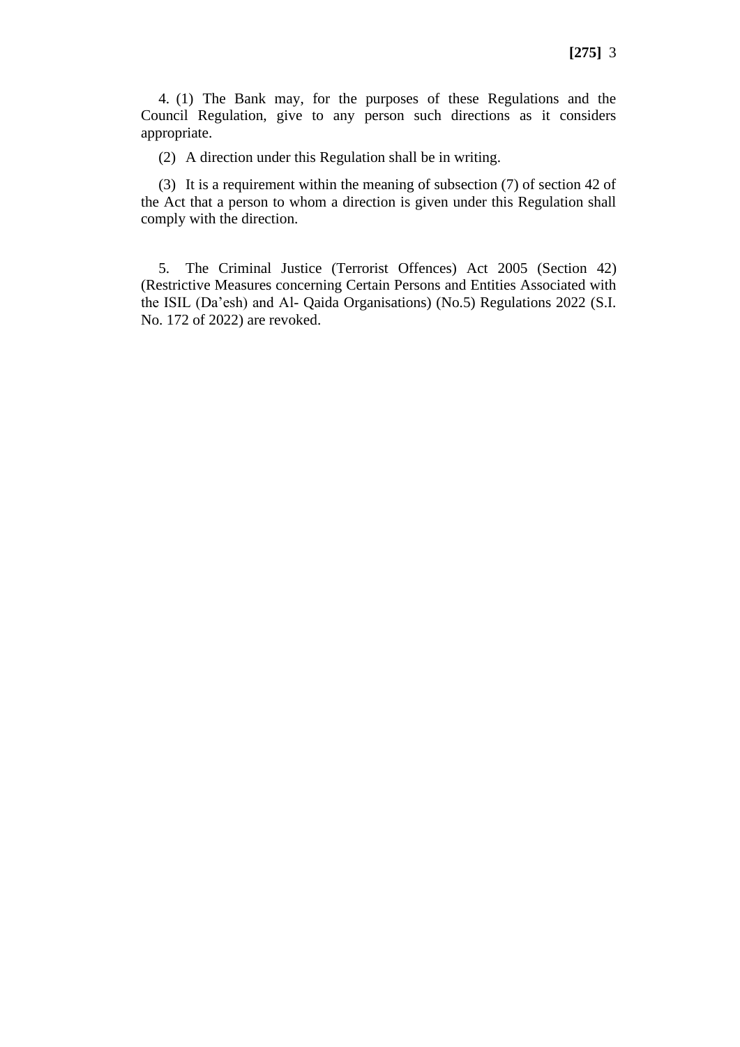4. (1) The Bank may, for the purposes of these Regulations and the Council Regulation, give to any person such directions as it considers appropriate.

(2) A direction under this Regulation shall be in writing.

(3) It is a requirement within the meaning of subsection (7) of section 42 of the Act that a person to whom a direction is given under this Regulation shall comply with the direction.

5. The Criminal Justice (Terrorist Offences) Act 2005 (Section 42) (Restrictive Measures concerning Certain Persons and Entities Associated with the ISIL (Da'esh) and Al- Qaida Organisations) (No.5) Regulations 2022 (S.I. No. 172 of 2022) are revoked.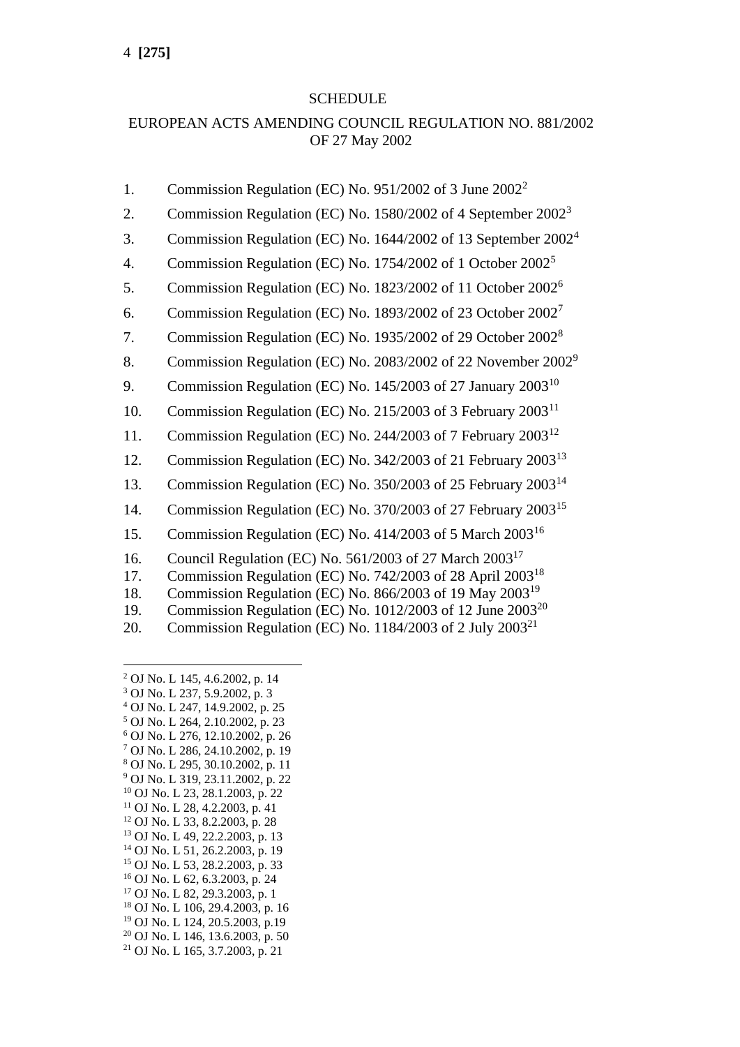### SCHEDULE

# EUROPEAN ACTS AMENDING COUNCIL REGULATION NO. 881/2002 OF 27 May 2002

- 1. Commission Regulation (EC) No. 951/2002 of 3 June 2002<sup>2</sup>
- 2. Commission Regulation (EC) No. 1580/2002 of 4 September 2002<sup>3</sup>
- 3. Commission Regulation (EC) No. 1644/2002 of 13 September 2002<sup>4</sup>
- 4. Commission Regulation (EC) No. 1754/2002 of 1 October  $2002<sup>5</sup>$
- 5. Commission Regulation (EC) No. 1823/2002 of 11 October 2002<sup>6</sup>
- 6. Commission Regulation (EC) No. 1893/2002 of 23 October 2002<sup>7</sup>
- 7. Commission Regulation (EC) No. 1935/2002 of 29 October 2002<sup>8</sup>
- 8. Commission Regulation (EC) No. 2083/2002 of 22 November 2002<sup>9</sup>
- 9. Commission Regulation (EC) No. 145/2003 of 27 January 2003<sup>10</sup>
- 10. Commission Regulation (EC) No. 215/2003 of 3 February 2003<sup>11</sup>
- 11. Commission Regulation (EC) No. 244/2003 of 7 February 2003<sup>12</sup>
- 12. Commission Regulation (EC) No. 342/2003 of 21 February 2003<sup>13</sup>
- 13. Commission Regulation (EC) No. 350/2003 of 25 February 2003<sup>14</sup>
- 14. Commission Regulation (EC) No. 370/2003 of 27 February 2003<sup>15</sup>
- 15. Commission Regulation (EC) No. 414/2003 of 5 March 2003<sup>16</sup>
- 16. Council Regulation (EC) No. 561/2003 of 27 March 2003<sup>17</sup>
- 17. Commission Regulation (EC) No. 742/2003 of 28 April 2003<sup>18</sup>
- 18. Commission Regulation (EC) No. 866/2003 of 19 May 2003<sup>19</sup>
- 19. Commission Regulation (EC) No. 1012/2003 of 12 June 2003<sup>20</sup>
- 20. Commission Regulation (EC) No. 1184/2003 of 2 July  $2003^{21}$

- <sup>3</sup> OJ No. L 237, 5.9.2002, p. 3
- <sup>4</sup> OJ No. L 247, 14.9.2002, p. 25
- <sup>5</sup> OJ No. L 264, 2.10.2002, p. 23 <sup>6</sup> OJ No. L 276, 12.10.2002, p. 26
- <sup>7</sup> OJ No. L 286, 24.10.2002, p. 19
- <sup>8</sup> OJ No. L 295, 30.10.2002, p. 11
- <sup>9</sup> OJ No. L 319, 23.11.2002, p. 22
- <sup>10</sup> OJ No. L 23, 28.1.2003, p. 22
- $11$  OJ No. L 28, 4.2.2003, p. 41
- <sup>12</sup> OJ No. L 33, 8.2.2003, p. 28
- <sup>13</sup> OJ No. L 49, 22.2.2003, p. 13
- <sup>14</sup> OJ No. L 51, 26.2.2003, p. 19 <sup>15</sup> OJ No. L 53, 28.2.2003, p. 33
- <sup>16</sup> OJ No. L 62, 6.3.2003, p. 24
- <sup>17</sup> OJ No. L 82, 29.3.2003, p. 1
- <sup>18</sup> OJ No. L 106, 29.4.2003, p. 16
- <sup>19</sup> OJ No. L 124, 20.5.2003, p.19
- <sup>20</sup> OJ No. L 146, 13.6.2003, p. 50
- <sup>21</sup> OJ No. L 165, 3.7.2003, p. 21

<sup>2</sup> OJ No. L 145, 4.6.2002, p. 14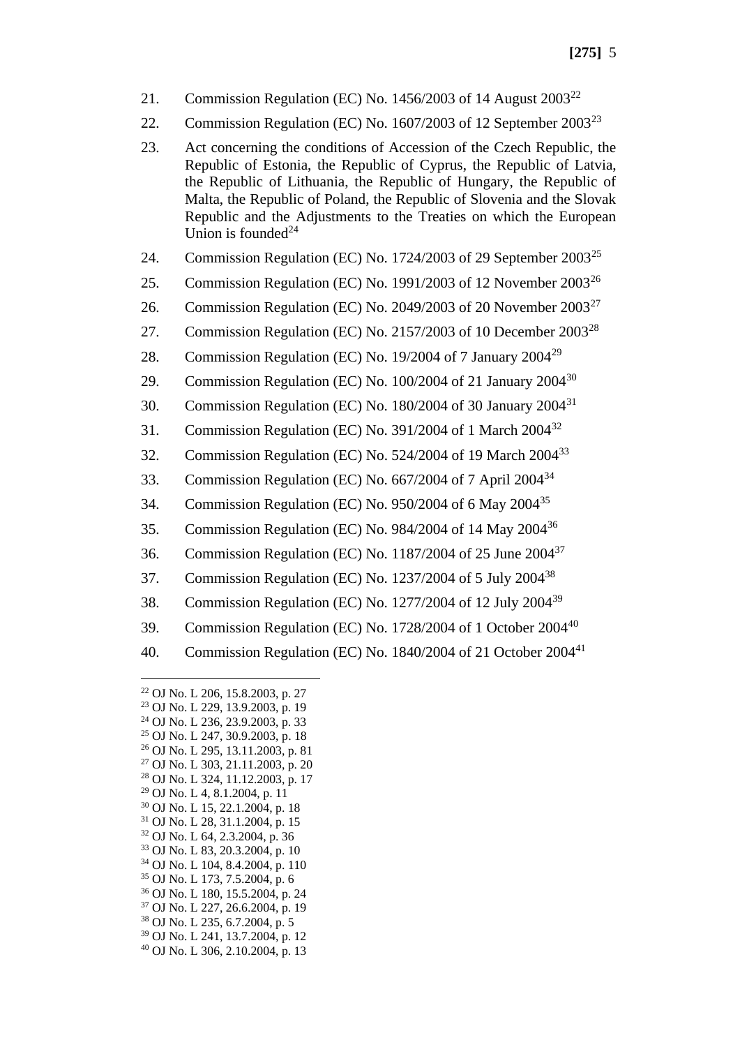- 21. Commission Regulation (EC) No. 1456/2003 of 14 August  $2003^{22}$
- 22. Commission Regulation (EC) No.  $1607/2003$  of 12 September  $2003^{23}$
- 23. Act concerning the conditions of Accession of the Czech Republic, the Republic of Estonia, the Republic of Cyprus, the Republic of Latvia, the Republic of Lithuania, the Republic of Hungary, the Republic of Malta, the Republic of Poland, the Republic of Slovenia and the Slovak Republic and the Adjustments to the Treaties on which the European Union is founded $^{24}$
- 24. Commission Regulation (EC) No. 1724/2003 of 29 September 2003<sup>25</sup>
- 25. Commission Regulation (EC) No. 1991/2003 of 12 November  $2003^{26}$
- 26. Commission Regulation (EC) No. 2049/2003 of 20 November 2003<sup>27</sup>
- 27. Commission Regulation (EC) No. 2157/2003 of 10 December 2003<sup>28</sup>
- 28. Commission Regulation (EC) No. 19/2004 of 7 January 2004<sup>29</sup>
- 29. Commission Regulation (EC) No. 100/2004 of 21 January 2004<sup>30</sup>
- 30. Commission Regulation (EC) No. 180/2004 of 30 January 2004<sup>31</sup>
- 31. Commission Regulation (EC) No. 391/2004 of 1 March 2004<sup>32</sup>
- 32. Commission Regulation (EC) No. 524/2004 of 19 March 2004<sup>33</sup>
- 33. Commission Regulation (EC) No. 667/2004 of 7 April 2004<sup>34</sup>
- 34. Commission Regulation (EC) No. 950/2004 of 6 May 2004<sup>35</sup>
- 35. Commission Regulation (EC) No. 984/2004 of 14 May 2004<sup>36</sup>
- 36. Commission Regulation (EC) No. 1187/2004 of 25 June 2004<sup>37</sup>
- 37. Commission Regulation (EC) No. 1237/2004 of 5 July 2004<sup>38</sup>
- 38. Commission Regulation (EC) No. 1277/2004 of 12 July 2004<sup>39</sup>
- 39. Commission Regulation (EC) No. 1728/2004 of 1 October 2004<sup>40</sup>
- 40. Commission Regulation (EC) No. 1840/2004 of 21 October 2004<sup>41</sup>

 OJ No. L 206, 15.8.2003, p. 27 OJ No. L 229, 13.9.2003, p. 19 OJ No. L 236, 23.9.2003, p. 33 OJ No. L 247, 30.9.2003, p. 18 OJ No. L 295, 13.11.2003, p. 81 OJ No. L 303, 21.11.2003, p. 20 OJ No. L 324, 11.12.2003, p. 17 OJ No. L 4, 8.1.2004, p. 11 OJ No. L 15, 22.1.2004, p. 18 OJ No. L 28, 31.1.2004, p. 15 OJ No. L 64, 2.3.2004, p. 36 OJ No. L 83, 20.3.2004, p. 10 OJ No. L 104, 8.4.2004, p. 110 OJ No. L 173, 7.5.2004, p. 6 OJ No. L 180, 15.5.2004, p. 24 OJ No. L 227, 26.6.2004, p. 19 OJ No. L 235, 6.7.2004, p. 5 OJ No. L 241, 13.7.2004, p. 12 OJ No. L 306, 2.10.2004, p. 13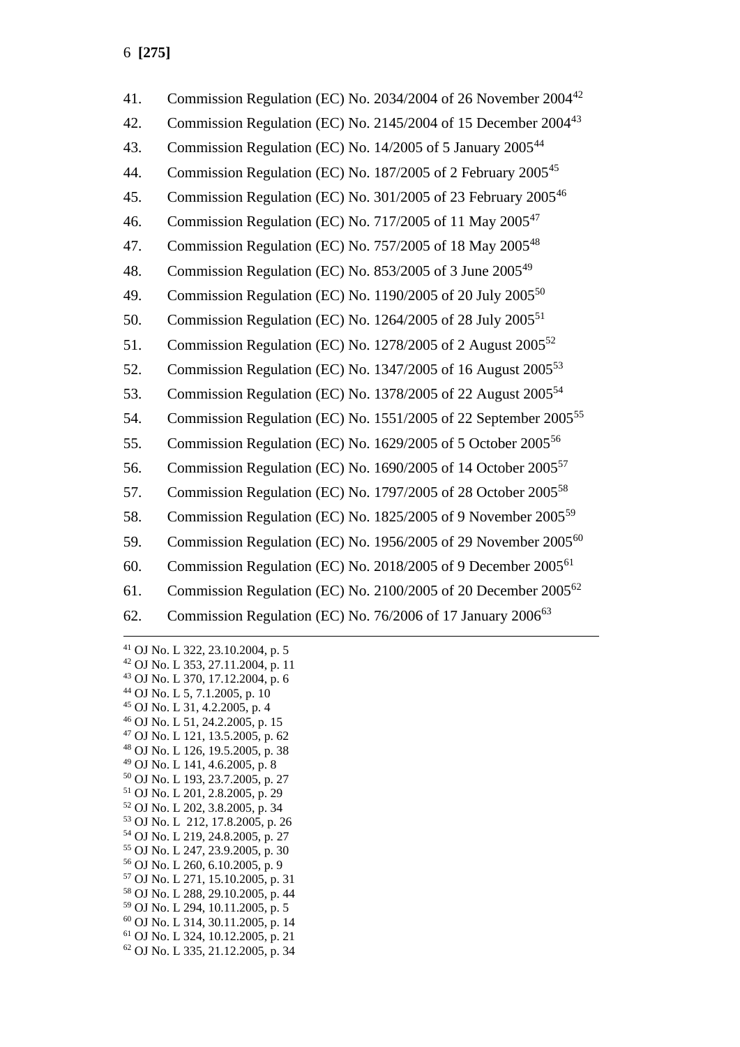| 41. | Commission Regulation (EC) No. 2034/2004 of 26 November 2004 <sup>42</sup>  |
|-----|-----------------------------------------------------------------------------|
| 42. | Commission Regulation (EC) No. 2145/2004 of 15 December 2004 <sup>43</sup>  |
| 43. | Commission Regulation (EC) No. 14/2005 of 5 January 2005 <sup>44</sup>      |
| 44. | Commission Regulation (EC) No. 187/2005 of 2 February 2005 <sup>45</sup>    |
| 45. | Commission Regulation (EC) No. 301/2005 of 23 February 2005 <sup>46</sup>   |
| 46. | Commission Regulation (EC) No. 717/2005 of 11 May 2005 <sup>47</sup>        |
| 47. | Commission Regulation (EC) No. 757/2005 of 18 May 2005 <sup>48</sup>        |
| 48. | Commission Regulation (EC) No. 853/2005 of 3 June 2005 <sup>49</sup>        |
| 49. | Commission Regulation (EC) No. 1190/2005 of 20 July 2005 <sup>50</sup>      |
| 50. | Commission Regulation (EC) No. 1264/2005 of 28 July 2005 <sup>51</sup>      |
| 51. | Commission Regulation (EC) No. 1278/2005 of 2 August 2005 <sup>52</sup>     |
| 52. | Commission Regulation (EC) No. 1347/2005 of 16 August 2005 <sup>53</sup>    |
| 53. | Commission Regulation (EC) No. 1378/2005 of 22 August 2005 <sup>54</sup>    |
| 54. | Commission Regulation (EC) No. 1551/2005 of 22 September 2005 <sup>55</sup> |
| 55. | Commission Regulation (EC) No. 1629/2005 of 5 October 2005 <sup>56</sup>    |
| 56. | Commission Regulation (EC) No. 1690/2005 of 14 October 2005 <sup>57</sup>   |
| 57. | Commission Regulation (EC) No. 1797/2005 of 28 October 2005 <sup>58</sup>   |
| 58. | Commission Regulation (EC) No. 1825/2005 of 9 November 2005 <sup>59</sup>   |
| 59. | Commission Regulation (EC) No. 1956/2005 of 29 November 2005 <sup>60</sup>  |
| 60. | Commission Regulation (EC) No. 2018/2005 of 9 December 2005 <sup>61</sup>   |
| 61. | Commission Regulation (EC) No. 2100/2005 of 20 December 2005 <sup>62</sup>  |
| 62. | Commission Regulation (EC) No. 76/2006 of 17 January 2006 <sup>63</sup>     |
|     |                                                                             |

 OJ No. L 322, 23.10.2004, p. 5 OJ No. L 353, 27.11.2004, p. 11 OJ No. L 370, 17.12.2004, p. 6 OJ No. L 5, 7.1.2005, p. 10 OJ No. L 31, 4.2.2005, p. 4 OJ No. L 51, 24.2.2005, p. 15 OJ No. L 121, 13.5.2005, p. 62 OJ No. L 126, 19.5.2005, p. 38 OJ No. L 141, 4.6.2005, p. 8 OJ No. L 193, 23.7.2005, p. 27 OJ No. L 201, 2.8.2005, p. 29 OJ No. L 202, 3.8.2005, p. 34 OJ No. L 212, 17.8.2005, p. 26 OJ No. L 219, 24.8.2005, p. 27 OJ No. L 247, 23.9.2005, p. 30 OJ No. L 260, 6.10.2005, p. 9 OJ No. L 271, 15.10.2005, p. 31 OJ No. L 288, 29.10.2005, p. 44 OJ No. L 294, 10.11.2005, p. 5 OJ No. L 314, 30.11.2005, p. 14 OJ No. L 324, 10.12.2005, p. 21 OJ No. L 335, 21.12.2005, p. 34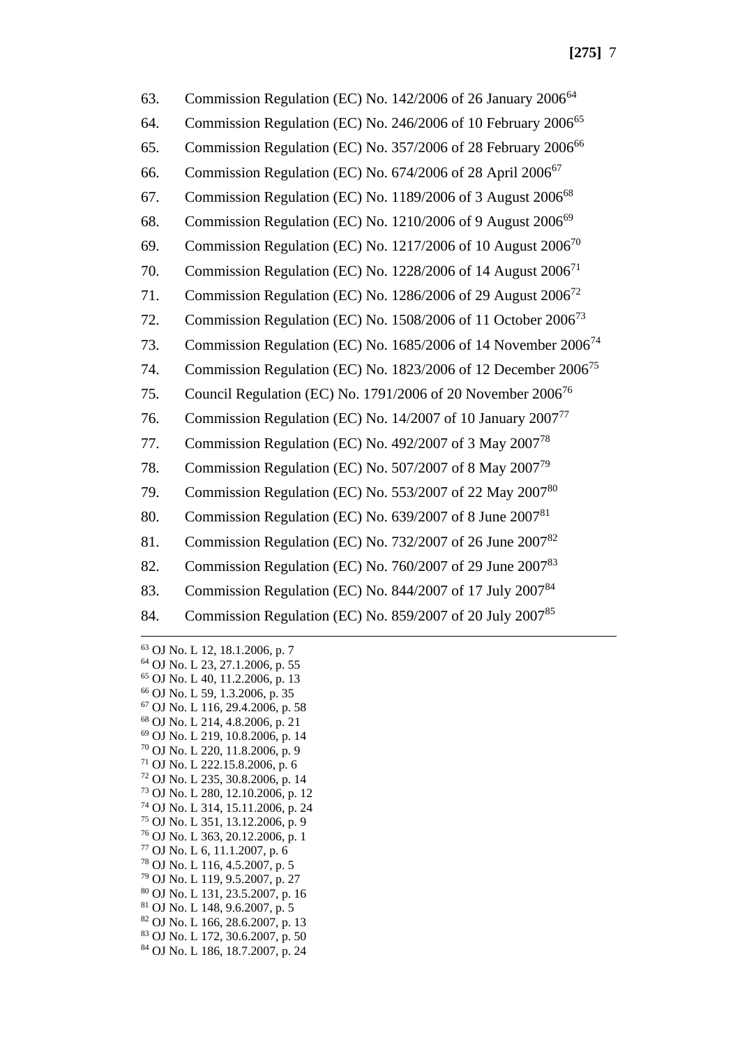| 63. | Commission Regulation (EC) No. 142/2006 of 26 January 2006 <sup>64</sup>   |
|-----|----------------------------------------------------------------------------|
| 64. | Commission Regulation (EC) No. 246/2006 of 10 February 2006 <sup>65</sup>  |
| 65. | Commission Regulation (EC) No. 357/2006 of 28 February 2006 <sup>66</sup>  |
| 66. | Commission Regulation (EC) No. 674/2006 of 28 April 2006 <sup>67</sup>     |
| 67. | Commission Regulation (EC) No. 1189/2006 of 3 August 2006 <sup>68</sup>    |
| 68. | Commission Regulation (EC) No. 1210/2006 of 9 August 2006 <sup>69</sup>    |
| 69. | Commission Regulation (EC) No. 1217/2006 of 10 August 2006 <sup>70</sup>   |
| 70. | Commission Regulation (EC) No. 1228/2006 of 14 August 2006 <sup>71</sup>   |
| 71. | Commission Regulation (EC) No. 1286/2006 of 29 August 2006 <sup>72</sup>   |
| 72. | Commission Regulation (EC) No. 1508/2006 of 11 October 2006 <sup>73</sup>  |
| 73. | Commission Regulation (EC) No. 1685/2006 of 14 November 2006 <sup>74</sup> |
| 74. | Commission Regulation (EC) No. 1823/2006 of 12 December 2006 <sup>75</sup> |
| 75. | Council Regulation (EC) No. 1791/2006 of 20 November 2006 <sup>76</sup>    |
| 76. | Commission Regulation (EC) No. 14/2007 of 10 January 2007 <sup>77</sup>    |
| 77. | Commission Regulation (EC) No. 492/2007 of 3 May 2007 <sup>78</sup>        |
| 78. | Commission Regulation (EC) No. 507/2007 of 8 May 2007 <sup>79</sup>        |
| 79. | Commission Regulation (EC) No. 553/2007 of 22 May 2007 <sup>80</sup>       |
| 80. | Commission Regulation (EC) No. 639/2007 of 8 June 2007 <sup>81</sup>       |
| 81. | Commission Regulation (EC) No. 732/2007 of 26 June 2007 <sup>82</sup>      |
| 82. | Commission Regulation (EC) No. 760/2007 of 29 June 2007 <sup>83</sup>      |
| 83. | Commission Regulation (EC) No. 844/2007 of 17 July 200784                  |
| 84. | Commission Regulation (EC) No. 859/2007 of 20 July 200785                  |
|     |                                                                            |

 OJ No. L 12, 18.1.2006, p. 7 OJ No. L 23, 27.1.2006, p. 55 OJ No. L 40, 11.2.2006, p. 13 OJ No. L 59, 1.3.2006, p. 35 OJ No. L 116, 29.4.2006, p. 58 OJ No. L 214, 4.8.2006, p. 21 OJ No. L 219, 10.8.2006, p. 14 OJ No. L 220, 11.8.2006, p. 9 OJ No. L 222.15.8.2006, p. 6 OJ No. L 235, 30.8.2006, p. 14 OJ No. L 280, 12.10.2006, p. 12 OJ No. L 314, 15.11.2006, p. 24 OJ No. L 351, 13.12.2006, p. 9 OJ No. L 363, 20.12.2006, p. 1 OJ No. L 6, 11.1.2007, p. 6 OJ No. L 116, 4.5.2007, p. 5 OJ No. L 119, 9.5.2007, p. 27 OJ No. L 131, 23.5.2007, p. 16 OJ No. L 148, 9.6.2007, p. 5 OJ No. L 166, 28.6.2007, p. 13 OJ No. L 172, 30.6.2007, p. 50 OJ No. L 186, 18.7.2007, p. 24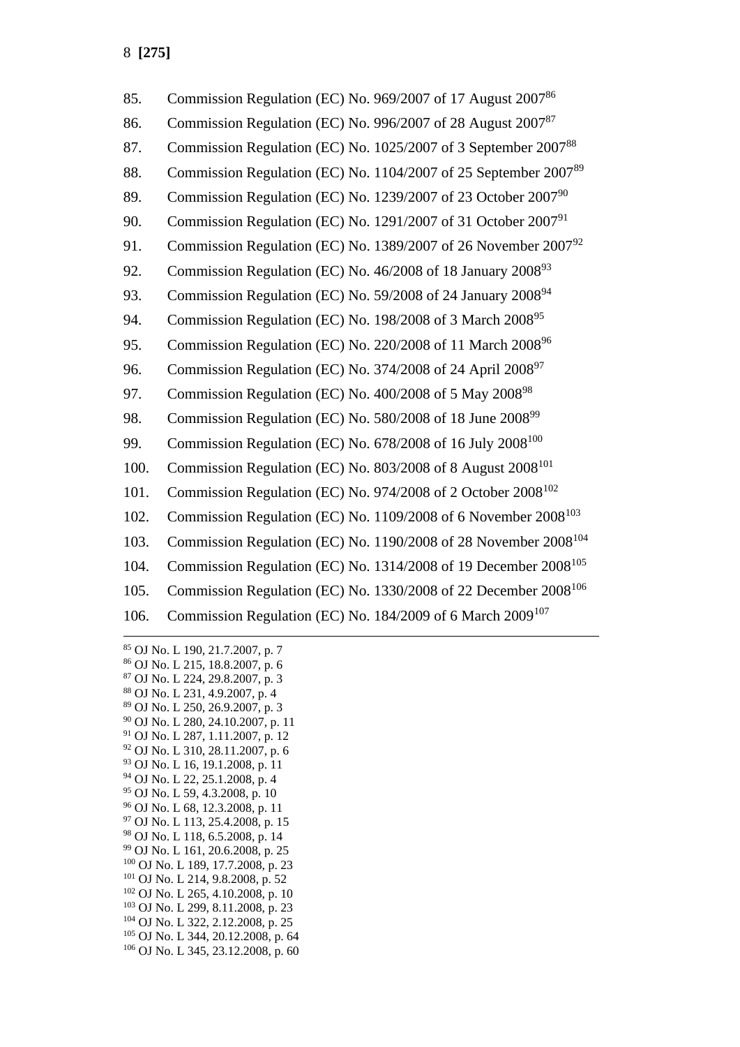| 85.  | Commission Regulation (EC) No. 969/2007 of 17 August 2007 <sup>86</sup>     |
|------|-----------------------------------------------------------------------------|
| 86.  | Commission Regulation (EC) No. 996/2007 of 28 August 2007 <sup>87</sup>     |
| 87.  | Commission Regulation (EC) No. 1025/2007 of 3 September 200788              |
| 88.  | Commission Regulation (EC) No. 1104/2007 of 25 September 200789             |
| 89.  | Commission Regulation (EC) No. 1239/2007 of 23 October 2007 <sup>90</sup>   |
| 90.  | Commission Regulation (EC) No. 1291/2007 of 31 October 2007 <sup>91</sup>   |
| 91.  | Commission Regulation (EC) No. 1389/2007 of 26 November 200792              |
| 92.  | Commission Regulation (EC) No. 46/2008 of 18 January 2008 <sup>93</sup>     |
| 93.  | Commission Regulation (EC) No. 59/2008 of 24 January 2008 <sup>94</sup>     |
| 94.  | Commission Regulation (EC) No. 198/2008 of 3 March 2008 <sup>95</sup>       |
| 95.  | Commission Regulation (EC) No. 220/2008 of 11 March 2008 <sup>96</sup>      |
| 96.  | Commission Regulation (EC) No. 374/2008 of 24 April 2008 <sup>97</sup>      |
| 97.  | Commission Regulation (EC) No. 400/2008 of 5 May 2008 <sup>98</sup>         |
| 98.  | Commission Regulation (EC) No. 580/2008 of 18 June 2008 <sup>99</sup>       |
| 99.  | Commission Regulation (EC) No. 678/2008 of 16 July 2008 <sup>100</sup>      |
| 100. | Commission Regulation (EC) No. 803/2008 of 8 August 2008 <sup>101</sup>     |
| 101. | Commission Regulation (EC) No. 974/2008 of 2 October 2008 <sup>102</sup>    |
| 102. | Commission Regulation (EC) No. 1109/2008 of 6 November 2008 <sup>103</sup>  |
| 103. | Commission Regulation (EC) No. 1190/2008 of 28 November 2008 <sup>104</sup> |
| 104. | Commission Regulation (EC) No. 1314/2008 of 19 December 2008 <sup>105</sup> |
| 105. | Commission Regulation (EC) No. 1330/2008 of 22 December 2008 <sup>106</sup> |
| 106. | Commission Regulation (EC) No. 184/2009 of 6 March 2009 <sup>107</sup>      |
|      |                                                                             |

 OJ No. L 190, 21.7.2007, p. 7 OJ No. L 215, 18.8.2007, p. 6 OJ No. L 224, 29.8.2007, p. 3 OJ No. L 231, 4.9.2007, p. 4 OJ No. L 250, 26.9.2007, p. 3 OJ No. L 280, 24.10.2007, p. 11 OJ No. L 287, 1.11.2007, p. 12 OJ No. L 310, 28.11.2007, p. 6 OJ No. L 16, 19.1.2008, p. 11 OJ No. L 22, 25.1.2008, p. 4 OJ No. L 59, 4.3.2008, p. 10 OJ No. L 68, 12.3.2008, p. 11 OJ No. L 113, 25.4.2008, p. 15 OJ No. L 118, 6.5.2008, p. 14 OJ No. L 161, 20.6.2008, p. 25 OJ No. L 189, 17.7.2008, p. 23 OJ No. L 214, 9.8.2008, p. 52 OJ No. L 265, 4.10.2008, p. 10 OJ No. L 299, 8.11.2008, p. 23 OJ No. L 322, 2.12.2008, p. 25 OJ No. L 344, 20.12.2008, p. 64 OJ No. L 345, 23.12.2008, p. 60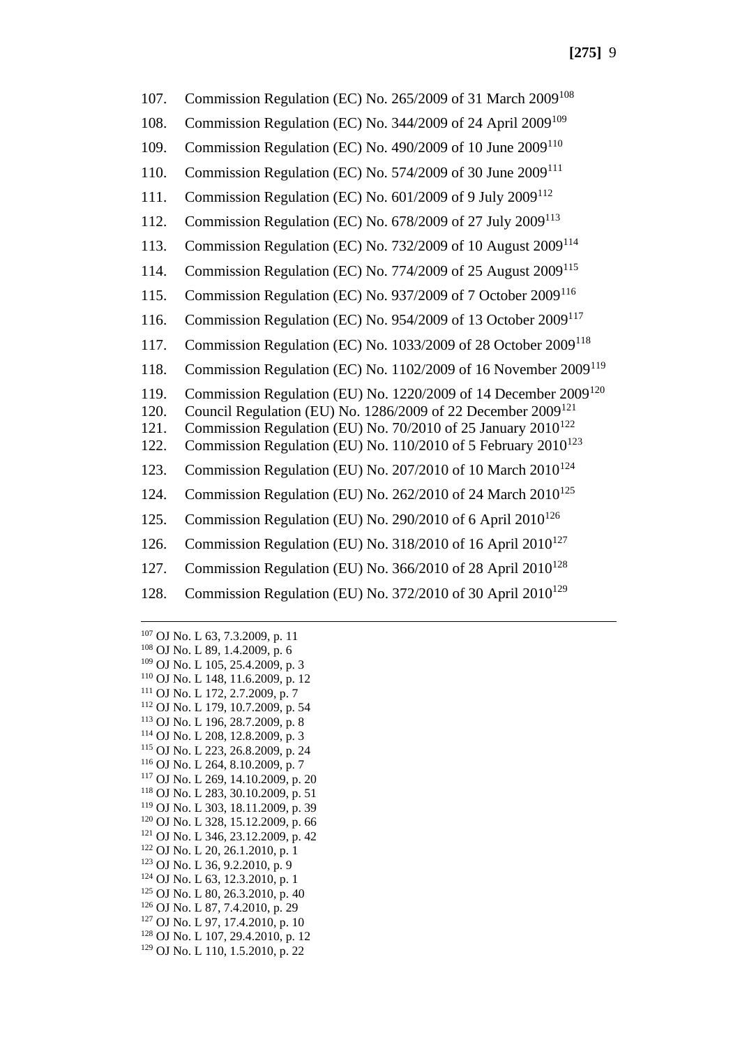107. Commission Regulation (EC) No. 265/2009 of 31 March 2009<sup>108</sup> 108. Commission Regulation (EC) No. 344/2009 of 24 April 2009<sup>109</sup> 109. Commission Regulation (EC) No. 490/2009 of 10 June 2009<sup>110</sup> 110. Commission Regulation (EC) No. 574/2009 of 30 June 2009<sup>111</sup> 111. Commission Regulation (EC) No. 601/2009 of 9 July 2009<sup>112</sup> 112. Commission Regulation (EC) No. 678/2009 of 27 July 2009<sup>113</sup> 113. Commission Regulation (EC) No. 732/2009 of 10 August 2009<sup>114</sup> 114. Commission Regulation (EC) No. 774/2009 of 25 August 2009<sup>115</sup> 115. Commission Regulation (EC) No. 937/2009 of 7 October 2009<sup>116</sup> 116. Commission Regulation (EC) No. 954/2009 of 13 October 2009<sup>117</sup> 117. Commission Regulation (EC) No. 1033/2009 of 28 October 2009<sup>118</sup> 118. Commission Regulation (EC) No. 1102/2009 of 16 November 2009<sup>119</sup> 119. Commission Regulation (EU) No. 1220/2009 of 14 December 2009<sup>120</sup> 120. Council Regulation (EU) No. 1286/2009 of 22 December 2009<sup>121</sup> 121. Commission Regulation (EU) No. 70/2010 of 25 January 2010<sup>122</sup> 122. Commission Regulation (EU) No. 110/2010 of 5 February 2010<sup>123</sup> 123. Commission Regulation (EU) No. 207/2010 of 10 March 2010<sup>124</sup> 124. Commission Regulation (EU) No. 262/2010 of 24 March 2010<sup>125</sup> 125. Commission Regulation (EU) No. 290/2010 of 6 April 2010<sup>126</sup> 126. Commission Regulation (EU) No. 318/2010 of 16 April  $2010^{127}$ 127. Commission Regulation (EU) No. 366/2010 of 28 April  $2010^{128}$ 128. Commission Regulation (EU) No. 372/2010 of 30 April  $2010^{129}$ 

 OJ No. L 63, 7.3.2009, p. 11 OJ No. L 89, 1.4.2009, p. 6 OJ No. L 105, 25.4.2009, p. 3 OJ No. L 148, 11.6.2009, p. 12 OJ No. L 172, 2.7.2009, p. 7 OJ No. L 179, 10.7.2009, p. 54 OJ No. L 196, 28.7.2009, p. 8 OJ No. L 208, 12.8.2009, p. 3 OJ No. L 223, 26.8.2009, p. 24 OJ No. L 264, 8.10.2009, p. 7 OJ No. L 269, 14.10.2009, p. 20 OJ No. L 283, 30.10.2009, p. 51 OJ No. L 303, 18.11.2009, p. 39 OJ No. L 328, 15.12.2009, p. 66 OJ No. L 346, 23.12.2009, p. 42 OJ No. L 20, 26.1.2010, p. 1 OJ No. L 36, 9.2.2010, p. 9 OJ No. L 63, 12.3.2010, p. 1 OJ No. L 80, 26.3.2010, p. 40 OJ No. L 87, 7.4.2010, p. 29 OJ No. L 97, 17.4.2010, p. 10 OJ No. L 107, 29.4.2010, p. 12 OJ No. L 110, 1.5.2010, p. 22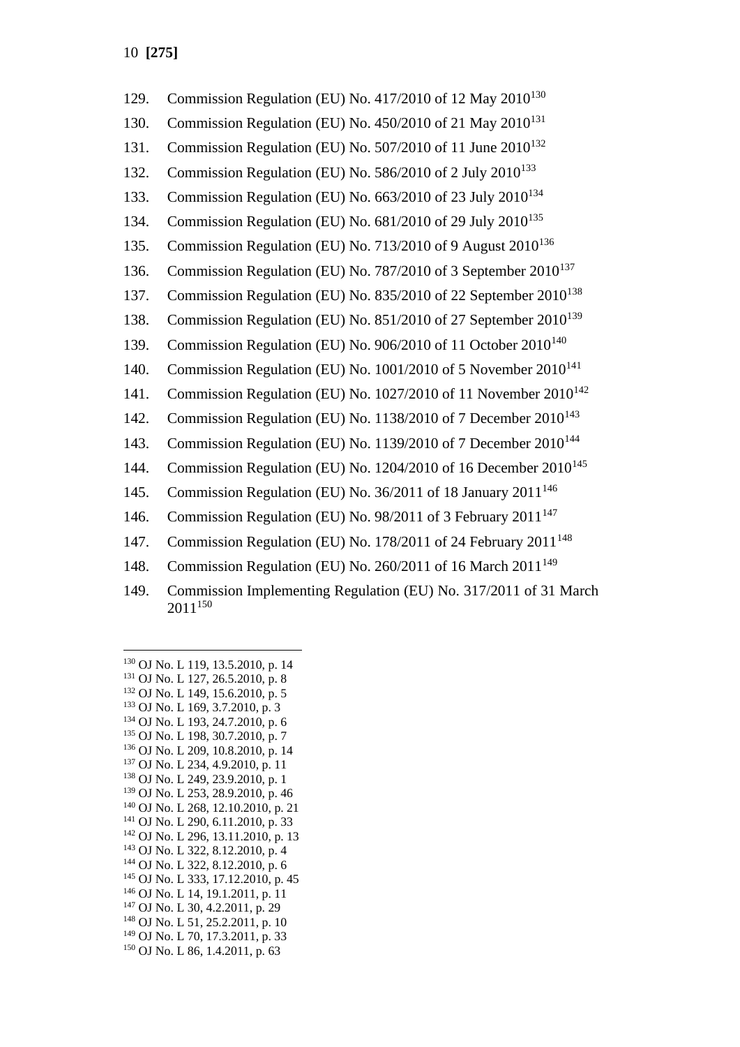| 129. | Commission Regulation (EU) No. 417/2010 of 12 May 2010 <sup>130</sup>            |
|------|----------------------------------------------------------------------------------|
| 130. | Commission Regulation (EU) No. 450/2010 of 21 May 2010 <sup>131</sup>            |
| 131. | Commission Regulation (EU) No. 507/2010 of 11 June 2010 <sup>132</sup>           |
| 132. | Commission Regulation (EU) No. 586/2010 of 2 July 2010 <sup>133</sup>            |
| 133. | Commission Regulation (EU) No. 663/2010 of 23 July 2010 <sup>134</sup>           |
| 134. | Commission Regulation (EU) No. 681/2010 of 29 July 2010 <sup>135</sup>           |
| 135. | Commission Regulation (EU) No. 713/2010 of 9 August 2010 <sup>136</sup>          |
| 136. | Commission Regulation (EU) No. 787/2010 of 3 September 2010 <sup>137</sup>       |
| 137. | Commission Regulation (EU) No. 835/2010 of 22 September 2010 <sup>138</sup>      |
| 138. | Commission Regulation (EU) No. 851/2010 of 27 September 2010 <sup>139</sup>      |
| 139. | Commission Regulation (EU) No. 906/2010 of 11 October 2010 <sup>140</sup>        |
| 140. | Commission Regulation (EU) No. 1001/2010 of 5 November 2010 <sup>141</sup>       |
| 141. | Commission Regulation (EU) No. 1027/2010 of 11 November 2010 <sup>142</sup>      |
| 142. | Commission Regulation (EU) No. 1138/2010 of 7 December 2010 <sup>143</sup>       |
| 143. | Commission Regulation (EU) No. 1139/2010 of 7 December 2010 <sup>144</sup>       |
| 144. | Commission Regulation (EU) No. 1204/2010 of 16 December 2010 <sup>145</sup>      |
| 145. | Commission Regulation (EU) No. 36/2011 of 18 January 2011 <sup>146</sup>         |
| 146. | Commission Regulation (EU) No. 98/2011 of 3 February 2011 <sup>147</sup>         |
| 147. | Commission Regulation (EU) No. 178/2011 of 24 February 2011 <sup>148</sup>       |
| 148. | Commission Regulation (EU) No. 260/2011 of 16 March 2011 <sup>149</sup>          |
| 149. | Commission Implementing Regulation (EU) No. 317/2011 of 31 March<br>$2011^{150}$ |
|      |                                                                                  |

<sup>130</sup> OJ No. L 119, 13.5.2010, p. 14 <sup>131</sup> OJ No. L 127, 26.5.2010, p. 8 <sup>132</sup> OJ No. L 149, 15.6.2010, p. 5 <sup>133</sup> OJ No. L 169, 3.7.2010, p. 3 <sup>134</sup> OJ No. L 193, 24.7.2010, p. 6 <sup>135</sup> OJ No. L 198, 30.7.2010, p. 7 <sup>136</sup> OJ No. L 209, 10.8.2010, p. 14 <sup>137</sup> OJ No. L 234, 4.9.2010, p. 11 <sup>138</sup> OJ No. L 249, 23.9.2010, p. 1 <sup>139</sup> OJ No. L 253, 28.9.2010, p. 46 <sup>140</sup> OJ No. L 268, 12.10.2010, p. 21 <sup>141</sup> OJ No. L 290, 6.11.2010, p. 33 <sup>142</sup> OJ No. L 296, 13.11.2010, p. 13 <sup>143</sup> OJ No. L 322, 8.12.2010, p. 4 <sup>144</sup> OJ No. L 322, 8.12.2010, p. 6 <sup>145</sup> OJ No. L 333, 17.12.2010, p. 45 <sup>146</sup> OJ No. L 14, 19.1.2011, p. 11 <sup>147</sup> OJ No. L 30, 4.2.2011, p. 29 <sup>148</sup> OJ No. L 51, 25.2.2011, p. 10 <sup>149</sup> OJ No. L 70, 17.3.2011, p. 33 <sup>150</sup> OJ No. L 86, 1.4.2011, p. 63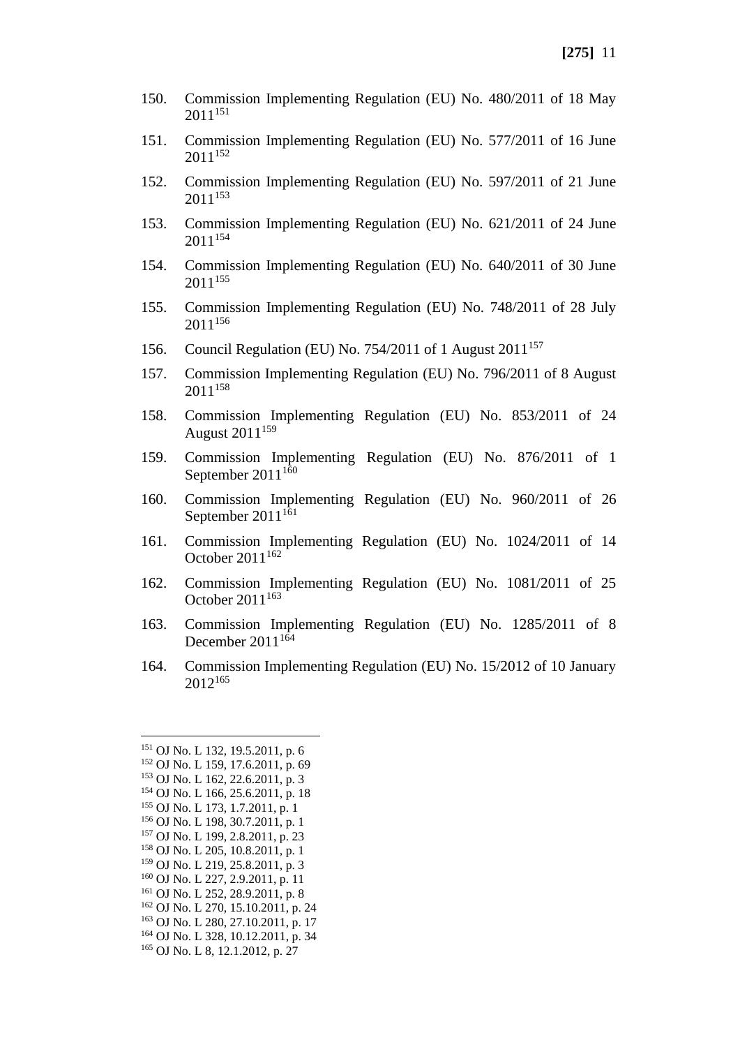- 150. Commission Implementing Regulation (EU) No. 480/2011 of 18 May 2011<sup>151</sup>
- 151. Commission Implementing Regulation (EU) No. 577/2011 of 16 June 2011<sup>152</sup>
- 152. Commission Implementing Regulation (EU) No. 597/2011 of 21 June 2011<sup>153</sup>
- 153. Commission Implementing Regulation (EU) No. 621/2011 of 24 June  $2011^{154}$
- 154. Commission Implementing Regulation (EU) No. 640/2011 of 30 June 2011<sup>155</sup>
- 155. Commission Implementing Regulation (EU) No. 748/2011 of 28 July 2011<sup>156</sup>
- 156. Council Regulation (EU) No. 754/2011 of 1 August 2011<sup>157</sup>
- 157. Commission Implementing Regulation (EU) No. 796/2011 of 8 August 2011<sup>158</sup>
- 158. Commission Implementing Regulation (EU) No. 853/2011 of 24 August 2011<sup>159</sup>
- 159. Commission Implementing Regulation (EU) No. 876/2011 of 1 September  $2011^{160}$
- 160. Commission Implementing Regulation (EU) No. 960/2011 of 26 September  $2011^{161}$
- 161. Commission Implementing Regulation (EU) No. 1024/2011 of 14 October  $2011^{162}$
- 162. Commission Implementing Regulation (EU) No. 1081/2011 of 25 October  $2011^{163}$
- 163. Commission Implementing Regulation (EU) No. 1285/2011 of 8 December  $2011^{164}$
- 164. Commission Implementing Regulation (EU) No. 15/2012 of 10 January 2012<sup>165</sup>

<sup>151</sup> OJ No. L 132, 19.5.2011, p. 6 <sup>152</sup> OJ No. L 159, 17.6.2011, p. 69 <sup>153</sup> OJ No. L 162, 22.6.2011, p. 3 <sup>154</sup> OJ No. L 166, 25.6.2011, p. 18 <sup>155</sup> OJ No. L 173, 1.7.2011, p. 1 <sup>156</sup> OJ No. L 198, 30.7.2011, p. 1 <sup>157</sup> OJ No. L 199, 2.8.2011, p. 23 <sup>158</sup> OJ No. L 205, 10.8.2011, p. 1 <sup>159</sup> OJ No. L 219, 25.8.2011, p. 3 <sup>160</sup> OJ No. L 227, 2.9.2011, p. 11  $161$  OJ No. L 252, 28, 9, 2011, p. 8 <sup>162</sup> OJ No. L 270, 15.10.2011, p. 24 <sup>163</sup> OJ No. L 280, 27.10.2011, p. 17 <sup>164</sup> OJ No. L 328, 10.12.2011, p. 34 <sup>165</sup> OJ No. L 8, 12.1.2012, p. 27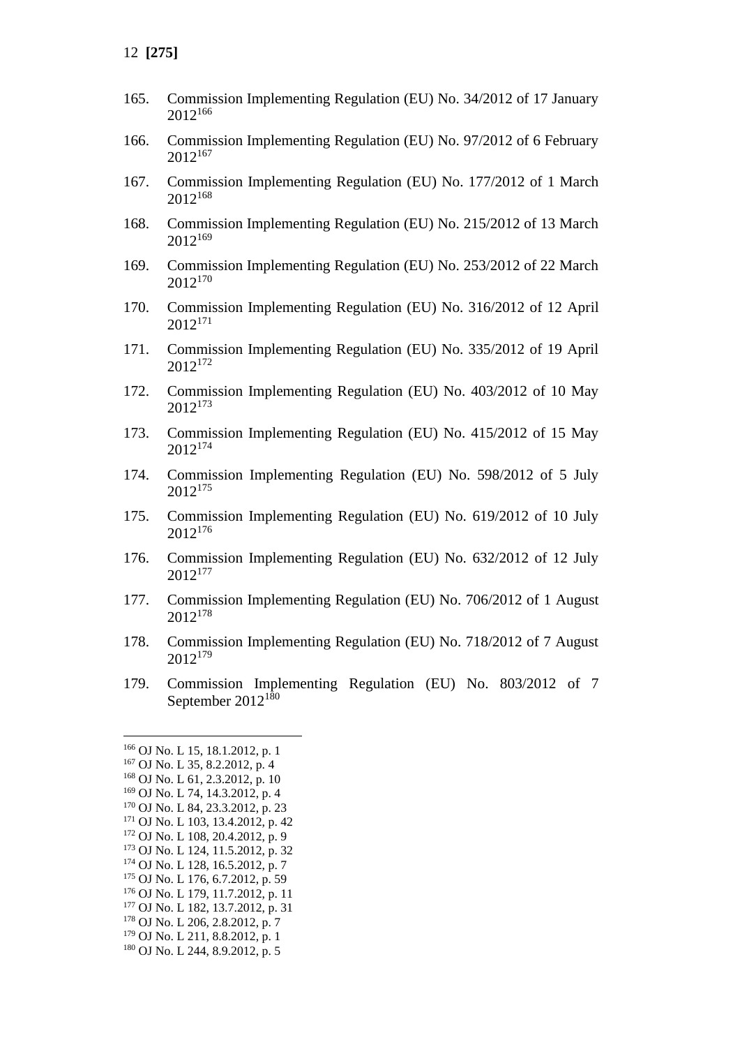- 165. Commission Implementing Regulation (EU) No. 34/2012 of 17 January <sup>166</sup>
- 166. Commission Implementing Regulation (EU) No. 97/2012 of 6 February <sup>167</sup>
- 167. Commission Implementing Regulation (EU) No. 177/2012 of 1 March <sup>168</sup>
- 168. Commission Implementing Regulation (EU) No. 215/2012 of 13 March <sup>169</sup>
- 169. Commission Implementing Regulation (EU) No. 253/2012 of 22 March <sup>170</sup>
- 170. Commission Implementing Regulation (EU) No. 316/2012 of 12 April <sup>171</sup>
- 171. Commission Implementing Regulation (EU) No. 335/2012 of 19 April 2012<sup>172</sup>
- 172. Commission Implementing Regulation (EU) No. 403/2012 of 10 May <sup>173</sup>
- 173. Commission Implementing Regulation (EU) No. 415/2012 of 15 May <sup>174</sup>
- 174. Commission Implementing Regulation (EU) No. 598/2012 of 5 July <sup>175</sup>
- 175. Commission Implementing Regulation (EU) No. 619/2012 of 10 July <sup>176</sup>
- 176. Commission Implementing Regulation (EU) No. 632/2012 of 12 July <sup>177</sup>
- 177. Commission Implementing Regulation (EU) No. 706/2012 of 1 August <sup>178</sup>
- 178. Commission Implementing Regulation (EU) No. 718/2012 of 7 August <sup>179</sup>
- 179. Commission Implementing Regulation (EU) No. 803/2012 of 7 September 2012<sup>180</sup>

- OJ No. L 179, 11.7.2012, p. 11
- OJ No. L 182, 13.7.2012, p. 31

OJ No. L 244, 8.9.2012, p. 5

OJ No. L 15, 18.1.2012, p. 1

OJ No. L 35, 8.2.2012, p. 4

OJ No. L 61, 2.3.2012, p. 10

OJ No. L 74, 14.3.2012, p. 4

 OJ No. L 84, 23.3.2012, p. 23 OJ No. L 103, 13.4.2012, p. 42

OJ No. L 108, 20.4.2012, p. 9

OJ No. L 124, 11.5.2012, p. 32

OJ No. L 128, 16.5.2012, p. 7

OJ No. L 176, 6.7.2012, p. 59

OJ No. L 206, 2.8.2012, p. 7

OJ No. L 211, 8.8.2012, p. 1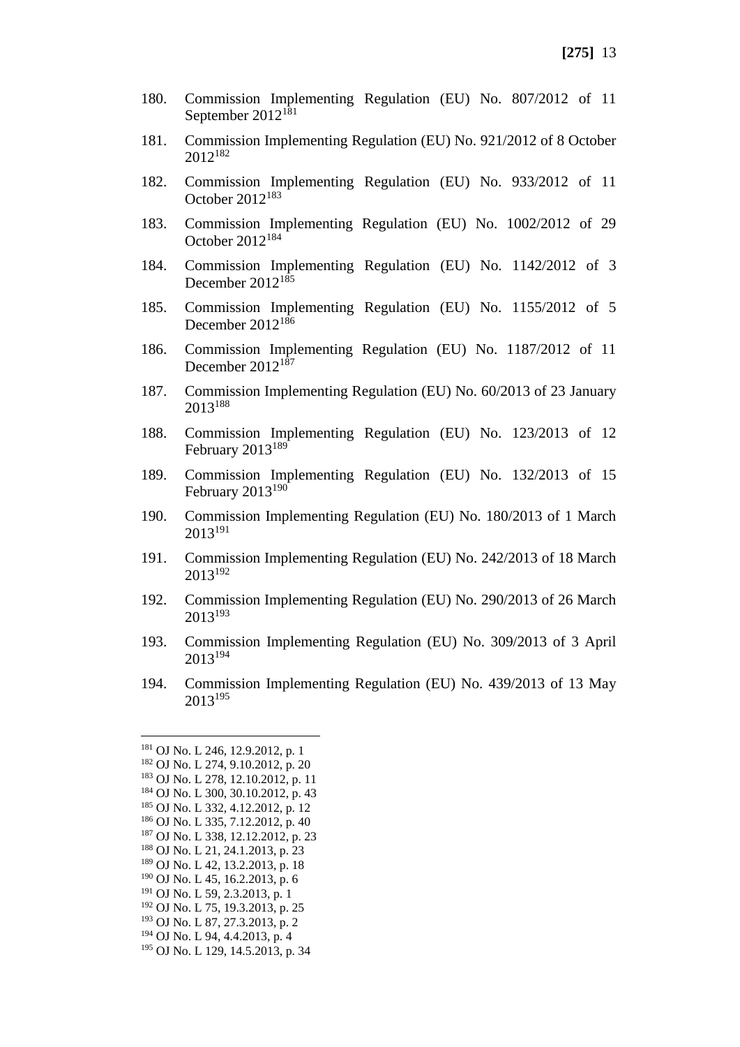- 180. Commission Implementing Regulation (EU) No. 807/2012 of 11 September  $2012^{181}$
- 181. Commission Implementing Regulation (EU) No. 921/2012 of 8 October 2012<sup>182</sup>
- 182. Commission Implementing Regulation (EU) No. 933/2012 of 11 October 2012<sup>183</sup>
- 183. Commission Implementing Regulation (EU) No. 1002/2012 of 29 October 2012<sup>184</sup>
- 184. Commission Implementing Regulation (EU) No. 1142/2012 of 3 December 2012<sup>185</sup>
- 185. Commission Implementing Regulation (EU) No. 1155/2012 of 5 December  $2012^{186}$
- 186. Commission Implementing Regulation (EU) No. 1187/2012 of 11 December 2012<sup>187</sup>
- 187. Commission Implementing Regulation (EU) No. 60/2013 of 23 January 2013<sup>188</sup>
- 188. Commission Implementing Regulation (EU) No. 123/2013 of 12 February 2013<sup>189</sup>
- 189. Commission Implementing Regulation (EU) No. 132/2013 of 15 February 2013<sup>190</sup>
- 190. Commission Implementing Regulation (EU) No. 180/2013 of 1 March 2013<sup>191</sup>
- 191. Commission Implementing Regulation (EU) No. 242/2013 of 18 March 2013<sup>192</sup>
- 192. Commission Implementing Regulation (EU) No. 290/2013 of 26 March 2013<sup>193</sup>
- 193. Commission Implementing Regulation (EU) No. 309/2013 of 3 April 2013<sup>194</sup>
- 194. Commission Implementing Regulation (EU) No. 439/2013 of 13 May 2013<sup>195</sup>

<sup>181</sup> OJ No. L 246, 12.9.2012, p. 1 <sup>182</sup> OJ No. L 274, 9.10.2012, p. 20 <sup>183</sup> OJ No. L 278, 12.10.2012, p. 11 <sup>184</sup> OJ No. L 300, 30.10.2012, p. 43 <sup>185</sup> OJ No. L 332, 4.12.2012, p. 12 <sup>186</sup> OJ No. L 335, 7.12.2012, p. 40 <sup>187</sup> OJ No. L 338, 12.12.2012, p. 23 <sup>188</sup> OJ No. L 21, 24.1.2013, p. 23 <sup>189</sup> OJ No. L 42, 13.2.2013, p. 18 <sup>190</sup> OJ No. L 45, 16.2.2013, p. 6 <sup>191</sup> OJ No. L 59, 2.3.2013, p. 1 <sup>192</sup> OJ No. L 75, 19.3.2013, p. 25 <sup>193</sup> OJ No. L 87, 27.3.2013, p. 2 <sup>194</sup> OJ No. L 94, 4.4.2013, p. 4 <sup>195</sup> OJ No. L 129, 14.5.2013, p. 34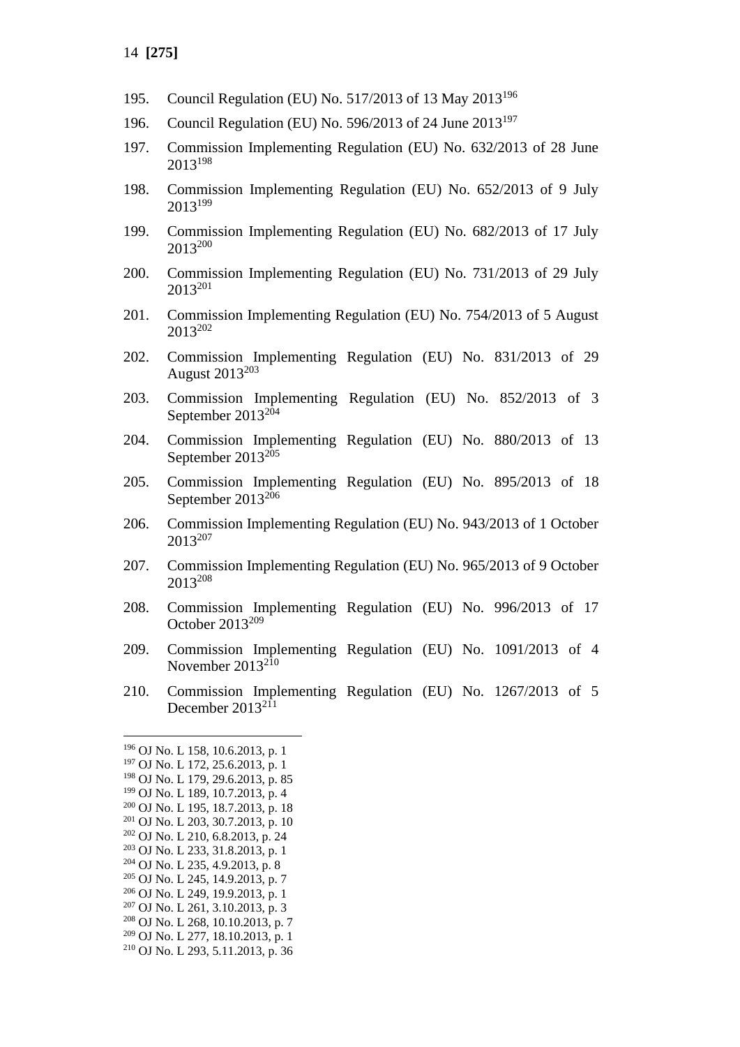- 195. Council Regulation (EU) No. 517/2013 of 13 May 2013<sup>196</sup>
- 196. Council Regulation (EU) No. 596/2013 of 24 June 2013<sup>197</sup>
- 197. Commission Implementing Regulation (EU) No. 632/2013 of 28 June 2013<sup>198</sup>
- 198. Commission Implementing Regulation (EU) No. 652/2013 of 9 July 2013<sup>199</sup>
- 199. Commission Implementing Regulation (EU) No. 682/2013 of 17 July 2013<sup>200</sup>
- 200. Commission Implementing Regulation (EU) No. 731/2013 of 29 July 2013<sup>201</sup>
- 201. Commission Implementing Regulation (EU) No. 754/2013 of 5 August 2013<sup>202</sup>
- 202. Commission Implementing Regulation (EU) No. 831/2013 of 29 August  $2013^{203}$
- 203. Commission Implementing Regulation (EU) No. 852/2013 of 3 September  $2013^{204}$
- 204. Commission Implementing Regulation (EU) No. 880/2013 of 13 September  $2013^{205}$
- 205. Commission Implementing Regulation (EU) No. 895/2013 of 18 September 2013<sup>206</sup>
- 206. Commission Implementing Regulation (EU) No. 943/2013 of 1 October 2013<sup>207</sup>
- 207. Commission Implementing Regulation (EU) No. 965/2013 of 9 October 2013<sup>208</sup>
- 208. Commission Implementing Regulation (EU) No. 996/2013 of 17 October 2013<sup>209</sup>
- 209. Commission Implementing Regulation (EU) No. 1091/2013 of 4 November 2013<sup>210</sup>
- 210. Commission Implementing Regulation (EU) No. 1267/2013 of 5 December  $2013^{211}$

- <sup>205</sup> OJ No. L 245, 14.9.2013, p. 7
- <sup>206</sup> OJ No. L 249, 19.9.2013, p. 1
- <sup>207</sup> OJ No. L 261, 3.10.2013, p. 3

<sup>209</sup> OJ No. L 277, 18.10.2013, p. 1

<sup>196</sup> OJ No. L 158, 10.6.2013, p. 1

<sup>197</sup> OJ No. L 172, 25.6.2013, p. 1 <sup>198</sup> OJ No. L 179, 29.6.2013, p. 85

<sup>199</sup> OJ No. L 189, 10.7.2013, p. 4

<sup>200</sup> OJ No. L 195, 18.7.2013, p. 18

<sup>201</sup> OJ No. L 203, 30.7.2013, p. 10 <sup>202</sup> OJ No. L 210, 6.8.2013, p. 24

<sup>203</sup> OJ No. L 233, 31.8.2013, p. 1

<sup>204</sup> OJ No. L 235, 4.9.2013, p. 8

<sup>208</sup> OJ No. L 268, 10.10.2013, p. 7

<sup>210</sup> OJ No. L 293, 5.11.2013, p. 36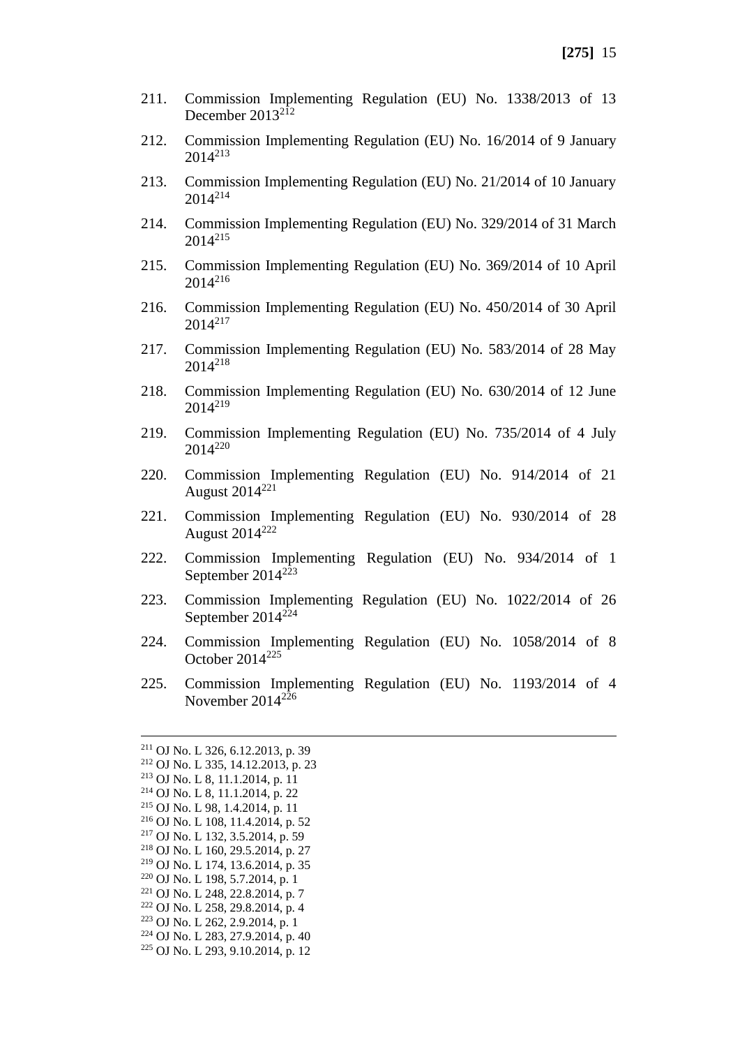- 211. Commission Implementing Regulation (EU) No. 1338/2013 of 13 December 2013<sup>212</sup>
- 212. Commission Implementing Regulation (EU) No. 16/2014 of 9 January 2014<sup>213</sup>
- 213. Commission Implementing Regulation (EU) No. 21/2014 of 10 January 2014<sup>214</sup>
- 214. Commission Implementing Regulation (EU) No. 329/2014 of 31 March  $2014^{215}$
- 215. Commission Implementing Regulation (EU) No. 369/2014 of 10 April 2014<sup>216</sup>
- 216. Commission Implementing Regulation (EU) No. 450/2014 of 30 April 2014<sup>217</sup>
- 217. Commission Implementing Regulation (EU) No. 583/2014 of 28 May 2014<sup>218</sup>
- 218. Commission Implementing Regulation (EU) No. 630/2014 of 12 June 2014<sup>219</sup>
- 219. Commission Implementing Regulation (EU) No. 735/2014 of 4 July 2014<sup>220</sup>
- 220. Commission Implementing Regulation (EU) No. 914/2014 of 21 August  $2014^{221}$
- 221. Commission Implementing Regulation (EU) No. 930/2014 of 28 August 2014<sup>222</sup>
- 222. Commission Implementing Regulation (EU) No. 934/2014 of 1 September 2014<sup>223</sup>
- 223. Commission Implementing Regulation (EU) No. 1022/2014 of 26 September 2014<sup>224</sup>
- 224. Commission Implementing Regulation (EU) No. 1058/2014 of 8 October 2014<sup>225</sup>
- 225. Commission Implementing Regulation (EU) No. 1193/2014 of 4 November 2014<sup>226</sup>

<sup>211</sup> OJ No. L 326, 6.12.2013, p. 39

- <sup>221</sup> OJ No. L 248, 22.8.2014, p. 7
- <sup>222</sup> OJ No. L 258, 29.8.2014, p. 4 <sup>223</sup> OJ No. L 262, 2.9.2014, p. 1
- <sup>224</sup> OJ No. L 283, 27.9.2014, p. 40
- 
- <sup>225</sup> OJ No. L 293, 9.10.2014, p. 12

<sup>212</sup> OJ No. L 335, 14.12.2013, p. 23 <sup>213</sup> OJ No. L 8, 11.1.2014, p. 11

<sup>214</sup> OJ No. L 8, 11.1.2014, p. 22

<sup>215</sup> OJ No. L 98, 1.4.2014, p. 11

<sup>216</sup> OJ No. L 108, 11.4.2014, p. 52

<sup>217</sup> OJ No. L 132, 3.5.2014, p. 59

<sup>218</sup> OJ No. L 160, 29.5.2014, p. 27

<sup>219</sup> OJ No. L 174, 13.6.2014, p. 35

<sup>220</sup> OJ No. L 198, 5.7.2014, p. 1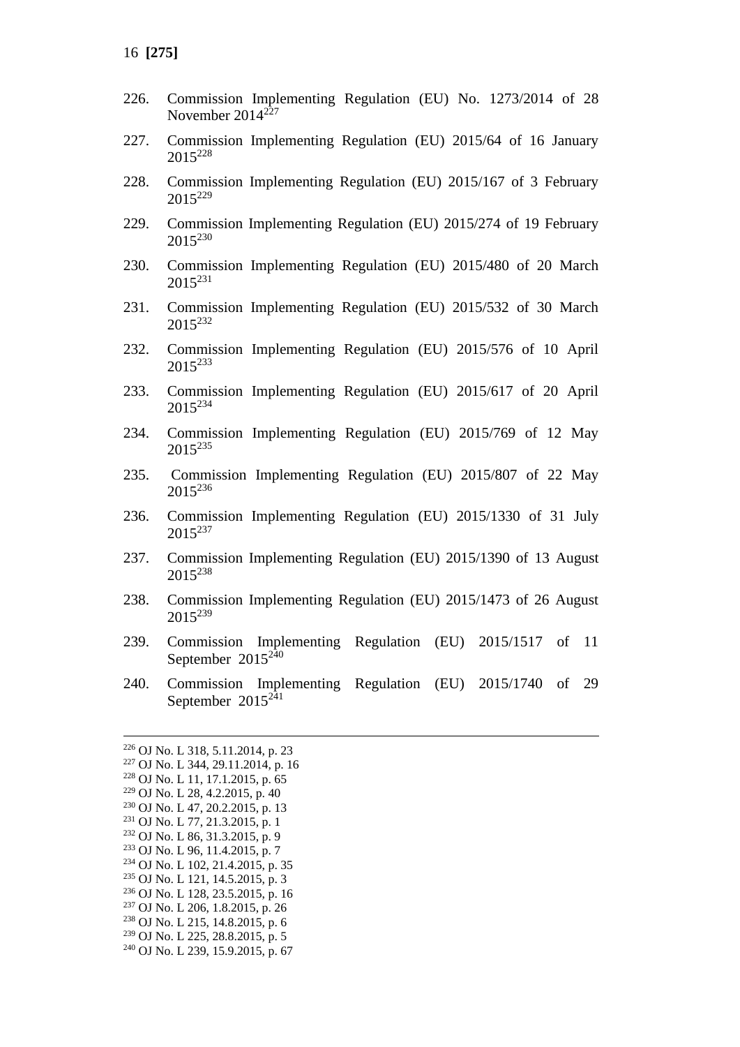- 226. Commission Implementing Regulation (EU) No. 1273/2014 of 28 November 2014<sup>227</sup>
- 227. Commission Implementing Regulation (EU) 2015/64 of 16 January 2015<sup>228</sup>
- 228. Commission Implementing Regulation (EU) 2015/167 of 3 February 2015<sup>229</sup>
- 229. Commission Implementing Regulation (EU) 2015/274 of 19 February 2015<sup>230</sup>
- 230. Commission Implementing Regulation (EU) 2015/480 of 20 March 2015<sup>231</sup>
- 231. Commission Implementing Regulation (EU) 2015/532 of 30 March 2015<sup>232</sup>
- 232. Commission Implementing Regulation (EU) 2015/576 of 10 April 2015<sup>233</sup>
- 233. Commission Implementing Regulation (EU) 2015/617 of 20 April 2015<sup>234</sup>
- 234. Commission Implementing Regulation (EU) 2015/769 of 12 May 2015<sup>235</sup>
- 235. Commission Implementing Regulation (EU) 2015/807 of 22 May 2015<sup>236</sup>
- 236. Commission Implementing Regulation (EU) 2015/1330 of 31 July 2015<sup>237</sup>
- 237. Commission Implementing Regulation (EU) 2015/1390 of 13 August 2015<sup>238</sup>
- 238. Commission Implementing Regulation (EU) 2015/1473 of 26 August 2015<sup>239</sup>
- 239. Commission Implementing Regulation (EU) 2015/1517 of 11 September 2015<sup>240</sup>
- 240. Commission Implementing Regulation (EU) 2015/1740 of 29 September 2015<sup>241</sup>

- <sup>233</sup> OJ No. L 96, 11.4.2015, p. 7
- <sup>234</sup> OJ No. L 102, 21.4.2015, p. 35
- <sup>235</sup> OJ No. L 121, 14.5.2015, p. 3
- <sup>236</sup> OJ No. L 128, 23.5.2015, p. 16
- <sup>237</sup> OJ No. L 206, 1.8.2015, p. 26
- <sup>238</sup> OJ No. L 215, 14.8.2015, p. 6
- <sup>239</sup> OJ No. L 225, 28.8.2015, p. 5
- <sup>240</sup> OJ No. L 239, 15.9.2015, p. 67

<sup>226</sup> OJ No. L 318, 5.11.2014, p. 23

<sup>227</sup> OJ No. L 344, 29.11.2014, p. 16

<sup>228</sup> OJ No. L 11, 17.1.2015, p. 65

<sup>229</sup> OJ No. L 28, 4.2.2015, p. 40 <sup>230</sup> OJ No. L 47, 20.2.2015, p. 13

<sup>231</sup> OJ No. L 77, 21.3.2015, p. 1

<sup>232</sup> OJ No. L 86, 31.3.2015, p. 9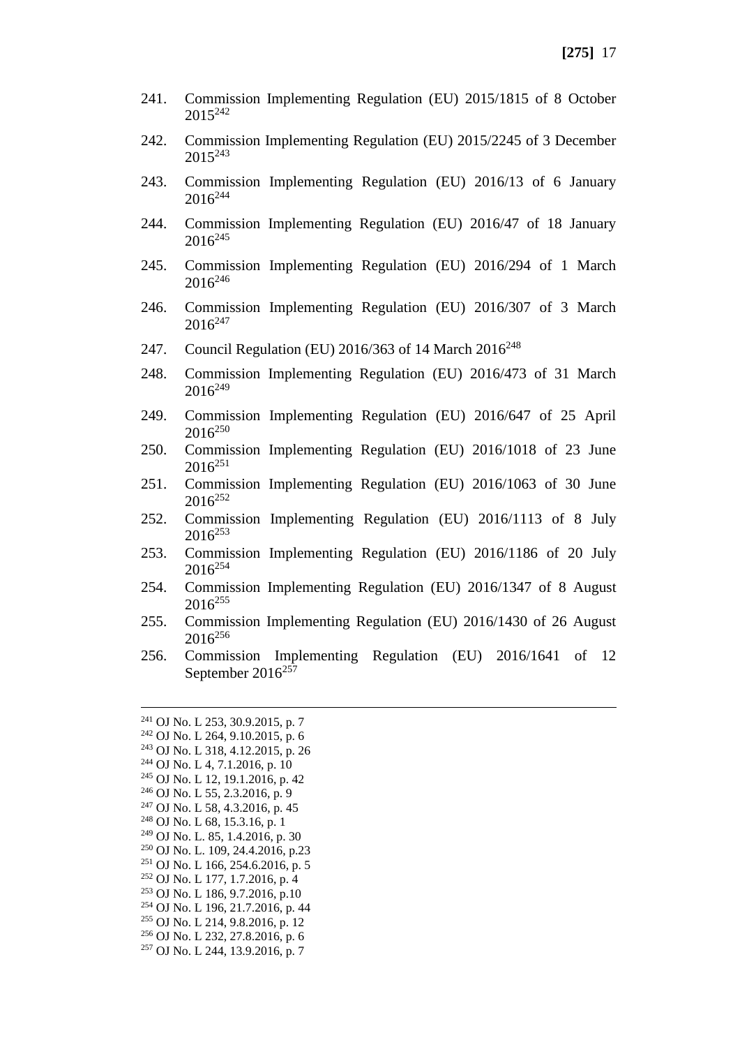- 241. Commission Implementing Regulation (EU) 2015/1815 of 8 October 2015<sup>242</sup>
- 242. Commission Implementing Regulation (EU) 2015/2245 of 3 December 2015<sup>243</sup>
- 243. Commission Implementing Regulation (EU) 2016/13 of 6 January  $2016^{244}$
- 244. Commission Implementing Regulation (EU) 2016/47 of 18 January  $2016^{245}$
- 245. Commission Implementing Regulation (EU) 2016/294 of 1 March  $2016^{246}$
- 246. Commission Implementing Regulation (EU) 2016/307 of 3 March 2016<sup>247</sup>
- 247. Council Regulation (EU) 2016/363 of 14 March 2016<sup>248</sup>
- 248. Commission Implementing Regulation (EU) 2016/473 of 31 March  $2016^{249}$
- 249. Commission Implementing Regulation (EU) 2016/647 of 25 April  $2016^{250}$
- 250. Commission Implementing Regulation (EU) 2016/1018 of 23 June  $2016^{251}$
- 251. Commission Implementing Regulation (EU) 2016/1063 of 30 June 2016<sup>252</sup>
- 252. Commission Implementing Regulation (EU) 2016/1113 of 8 July  $2016^{253}$
- 253. Commission Implementing Regulation (EU) 2016/1186 of 20 July  $2016^{254}$
- 254. Commission Implementing Regulation (EU) 2016/1347 of 8 August  $2016^{255}$
- 255. Commission Implementing Regulation (EU) 2016/1430 of 26 August 2016<sup>256</sup>
- 256. Commission Implementing Regulation (EU) 2016/1641 of 12 September  $2016^{257}$

 OJ No. L 253, 30.9.2015, p. 7 OJ No. L 264, 9.10.2015, p. 6 OJ No. L 318, 4.12.2015, p. 26 OJ No. L 4, 7.1.2016, p. 10 OJ No. L 12, 19.1.2016, p. 42 OJ No. L 55, 2.3.2016, p. 9 OJ No. L 58, 4.3.2016, p. 45 OJ No. L 68, 15.3.16, p. 1 OJ No. L. 85, 1.4.2016, p. 30 OJ No. L. 109, 24.4.2016, p.23 OJ No. L 166, 254.6.2016, p. 5 OJ No. L 177, 1.7.2016, p. 4 OJ No. L 186, 9.7.2016, p.10 OJ No. L 196, 21.7.2016, p. 44 OJ No. L 214, 9.8.2016, p. 12 OJ No. L 232, 27.8.2016, p. 6 OJ No. L 244, 13.9.2016, p. 7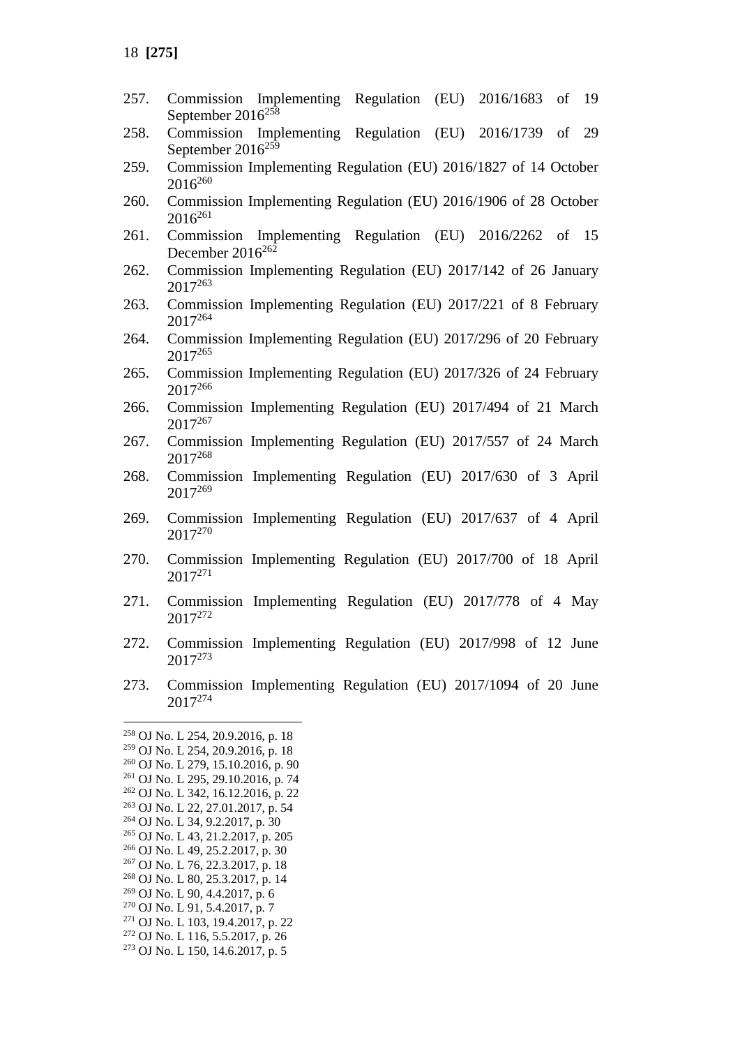- 257. Commission Implementing Regulation (EU) 2016/1683 of 19 September 2016<sup>258</sup>
- 258. Commission Implementing Regulation (EU) 2016/1739 of 29 September  $2016^{259}$
- 259. Commission Implementing Regulation (EU) 2016/1827 of 14 October  $2016^{260}$
- 260. Commission Implementing Regulation (EU) 2016/1906 of 28 October  $2016^{261}$
- 261. Commission Implementing Regulation (EU) 2016/2262 of 15 December  $2016^{262}$
- 262. Commission Implementing Regulation (EU) 2017/142 of 26 January 2017<sup>263</sup>
- 263. Commission Implementing Regulation (EU) 2017/221 of 8 February 2017<sup>264</sup>
- 264. Commission Implementing Regulation (EU) 2017/296 of 20 February 2017<sup>265</sup>
- 265. Commission Implementing Regulation (EU) 2017/326 of 24 February 2017<sup>266</sup>
- 266. Commission Implementing Regulation (EU) 2017/494 of 21 March 2017<sup>267</sup>
- 267. Commission Implementing Regulation (EU) 2017/557 of 24 March 2017<sup>268</sup>
- 268. Commission Implementing Regulation (EU) 2017/630 of 3 April 2017<sup>269</sup>
- 269. Commission Implementing Regulation (EU) 2017/637 of 4 April 2017<sup>270</sup>
- 270. Commission Implementing Regulation (EU) 2017/700 of 18 April 2017<sup>271</sup>
- 271. Commission Implementing Regulation (EU) 2017/778 of 4 May 2017<sup>272</sup>
- 272. Commission Implementing Regulation (EU) 2017/998 of 12 June 2017<sup>273</sup>
- 273. Commission Implementing Regulation (EU) 2017/1094 of 20 June 2017<sup>274</sup>

<sup>258</sup> OJ No. L 254, 20.9.2016, p. 18 <sup>259</sup> OJ No. L 254, 20.9.2016, p. 18 <sup>260</sup> OJ No. L 279, 15.10.2016, p. 90 <sup>261</sup> OJ No. L 295, 29.10.2016, p. 74 <sup>262</sup> OJ No. L 342, 16.12.2016, p. 22 <sup>263</sup> OJ No. L 22, 27.01.2017, p. 54 <sup>264</sup> OJ No. L 34, 9.2.2017, p. 30 <sup>265</sup> OJ No. L 43, 21.2.2017, p. 205 <sup>266</sup> OJ No. L 49, 25.2.2017, p. 30 <sup>267</sup> OJ No. L 76, 22.3.2017, p. 18 <sup>268</sup> OJ No. L 80, 25.3.2017, p. 14 <sup>269</sup> OJ No. L 90, 4.4.2017, p. 6 <sup>270</sup> OJ No. L 91, 5.4.2017, p. 7 <sup>271</sup> OJ No. L 103, 19.4.2017, p. 22 <sup>272</sup> OJ No. L 116, 5.5.2017, p. 26 <sup>273</sup> OJ No. L 150, 14.6.2017, p. 5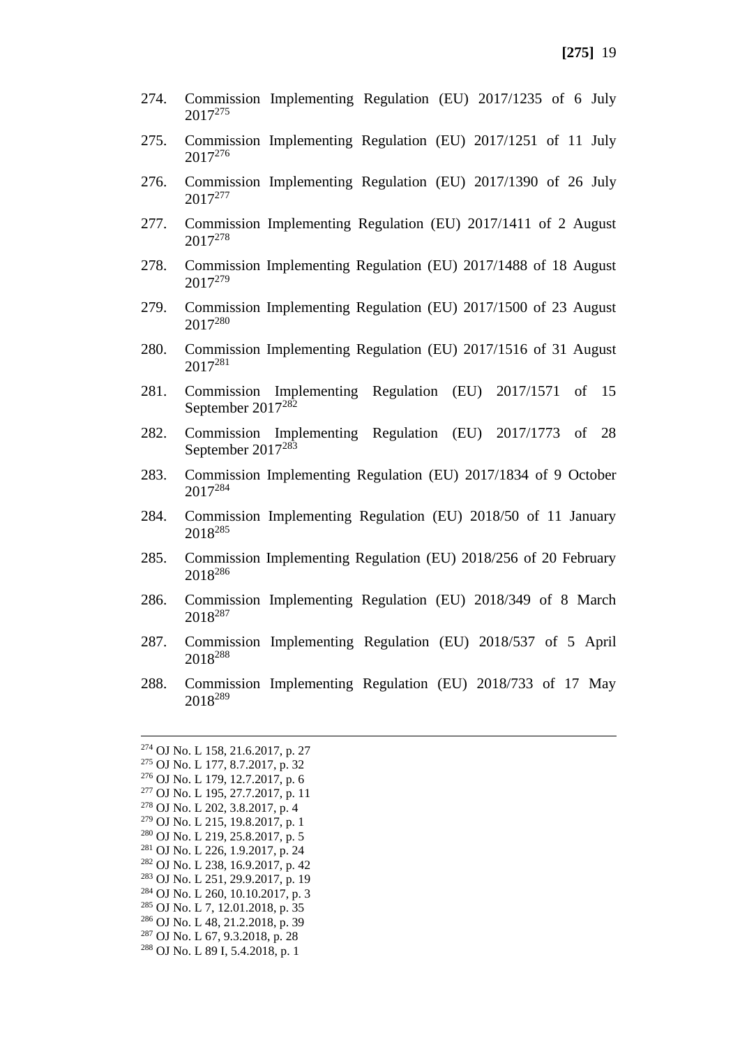- 274. Commission Implementing Regulation (EU) 2017/1235 of 6 July 2017<sup>275</sup>
- 275. Commission Implementing Regulation (EU) 2017/1251 of 11 July 2017<sup>276</sup>
- 276. Commission Implementing Regulation (EU) 2017/1390 of 26 July 2017<sup>277</sup>
- 277. Commission Implementing Regulation (EU) 2017/1411 of 2 August 2017<sup>278</sup>
- 278. Commission Implementing Regulation (EU) 2017/1488 of 18 August 2017<sup>279</sup>
- 279. Commission Implementing Regulation (EU) 2017/1500 of 23 August 2017<sup>280</sup>
- 280. Commission Implementing Regulation (EU) 2017/1516 of 31 August 2017<sup>281</sup>
- 281. Commission Implementing Regulation (EU) 2017/1571 of 15 September 2017<sup>282</sup>
- 282. Commission Implementing Regulation (EU) 2017/1773 of 28 September 2017<sup>283</sup>
- 283. Commission Implementing Regulation (EU) 2017/1834 of 9 October 2017<sup>284</sup>
- 284. Commission Implementing Regulation (EU) 2018/50 of 11 January 2018<sup>285</sup>
- 285. Commission Implementing Regulation (EU) 2018/256 of 20 February 2018<sup>286</sup>
- 286. Commission Implementing Regulation (EU) 2018/349 of 8 March 2018<sup>287</sup>
- 287. Commission Implementing Regulation (EU) 2018/537 of 5 April 2018<sup>288</sup>
- 288. Commission Implementing Regulation (EU) 2018/733 of 17 May 2018<sup>289</sup>

 OJ No. L 158, 21.6.2017, p. 27 OJ No. L 177, 8.7.2017, p. 32 OJ No. L 179, 12.7.2017, p. 6 OJ No. L 195, 27.7.2017, p. 11 OJ No. L 202, 3.8.2017, p. 4 OJ No. L 215, 19.8.2017, p. 1 OJ No. L 219, 25.8.2017, p. 5 OJ No. L 226, 1.9.2017, p. 24 OJ No. L 238, 16.9.2017, p. 42 OJ No. L 251, 29.9.2017, p. 19 OJ No. L 260, 10.10.2017, p. 3 OJ No. L 7, 12.01.2018, p. 35 OJ No. L 48, 21.2.2018, p. 39 OJ No. L 67, 9.3.2018, p. 28 OJ No. L 89 I, 5.4.2018, p. 1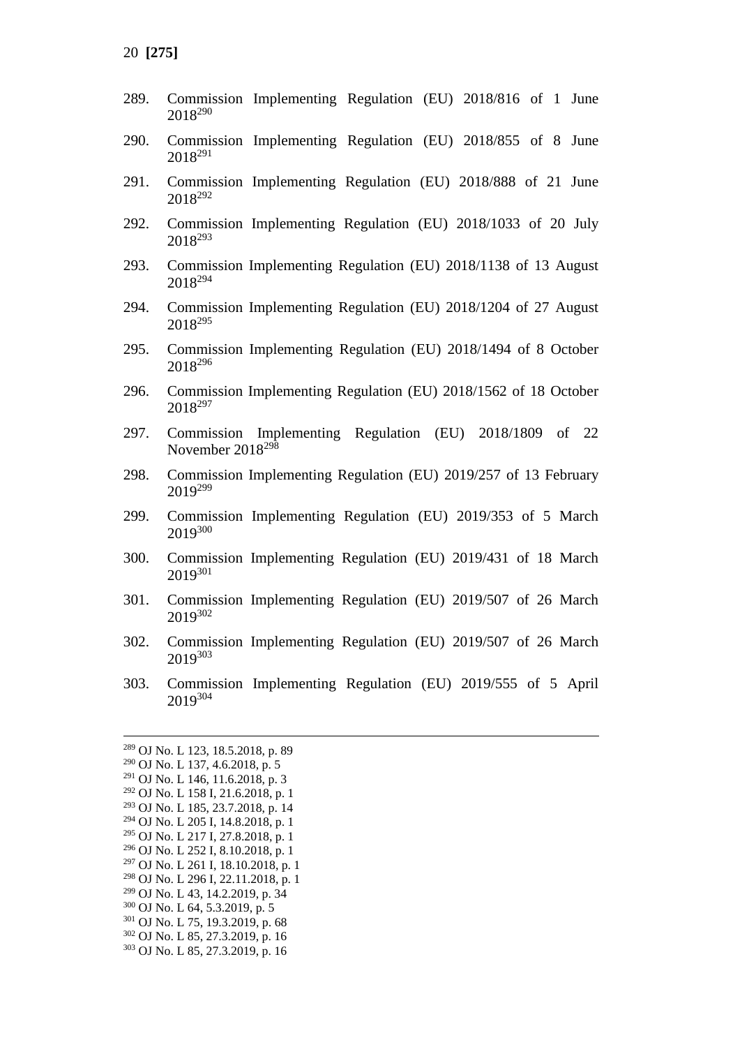- 289. Commission Implementing Regulation (EU) 2018/816 of 1 June <sup>290</sup>
- 290. Commission Implementing Regulation (EU) 2018/855 of 8 June <sup>291</sup>
- 291. Commission Implementing Regulation (EU) 2018/888 of 21 June <sup>292</sup>
- 292. Commission Implementing Regulation (EU) 2018/1033 of 20 July <sup>293</sup>
- 293. Commission Implementing Regulation (EU) 2018/1138 of 13 August <sup>294</sup>
- 294. Commission Implementing Regulation (EU) 2018/1204 of 27 August 295
- 295. Commission Implementing Regulation (EU) 2018/1494 of 8 October <sup>296</sup>
- 296. Commission Implementing Regulation (EU) 2018/1562 of 18 October <sup>297</sup>
- 297. Commission Implementing Regulation (EU) 2018/1809 of 22 November 2018<sup>298</sup>
- 298. Commission Implementing Regulation (EU) 2019/257 of 13 February <sup>299</sup>
- 299. Commission Implementing Regulation (EU) 2019/353 of 5 March <sup>300</sup>
- 300. Commission Implementing Regulation (EU) 2019/431 of 18 March <sup>301</sup>
- 301. Commission Implementing Regulation (EU) 2019/507 of 26 March <sup>302</sup>
- 302. Commission Implementing Regulation (EU) 2019/507 of 26 March <sup>303</sup>
- 303. Commission Implementing Regulation (EU) 2019/555 of 5 April <sup>304</sup>

 OJ No. L 123, 18.5.2018, p. 89 OJ No. L 137, 4.6.2018, p. 5 OJ No. L 146, 11.6.2018, p. 3 OJ No. L 158 I, 21.6.2018, p. 1 OJ No. L 185, 23.7.2018, p. 14 OJ No. L 205 I, 14.8.2018, p. 1 OJ No. L 217 I, 27.8.2018, p. 1 OJ No. L 252 I, 8.10.2018, p. 1 OJ No. L 261 I, 18.10.2018, p. 1 OJ No. L 296 I, 22.11.2018, p. 1 OJ No. L 43, 14.2.2019, p. 34 OJ No. L 64, 5.3.2019, p. 5 OJ No. L 75, 19.3.2019, p. 68 OJ No. L 85, 27.3.2019, p. 16 OJ No. L 85, 27.3.2019, p. 16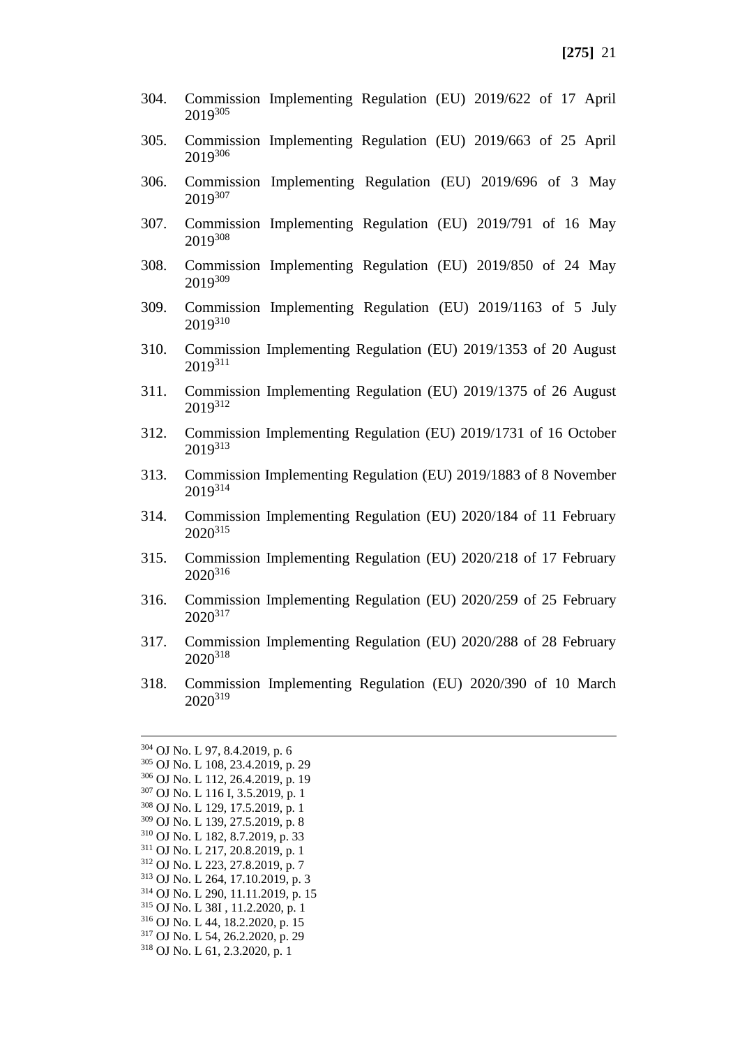- 304. Commission Implementing Regulation (EU) 2019/622 of 17 April 2019<sup>305</sup>
- 305. Commission Implementing Regulation (EU) 2019/663 of 25 April 2019 306
- 306. Commission Implementing Regulation (EU) 2019/696 of 3 May 2019307
- 307. Commission Implementing Regulation (EU) 2019/791 of 16 May 2019<sup>308</sup>
- 308. Commission Implementing Regulation (EU) 2019/850 of 24 May 2019<sup>309</sup>
- 309. Commission Implementing Regulation (EU) 2019/1163 of 5 July 2019<sup>310</sup>
- 310. Commission Implementing Regulation (EU) 2019/1353 of 20 August 2019311
- 311. Commission Implementing Regulation (EU) 2019/1375 of 26 August 2019<sup>312</sup>
- 312. Commission Implementing Regulation (EU) 2019/1731 of 16 October 2019<sup>313</sup>
- 313. Commission Implementing Regulation (EU) 2019/1883 of 8 November 2019<sup>314</sup>
- 314. Commission Implementing Regulation (EU) 2020/184 of 11 February 2020<sup>315</sup>
- 315. Commission Implementing Regulation (EU) 2020/218 of 17 February 2020316
- 316. Commission Implementing Regulation (EU) 2020/259 of 25 February 2020<sup>317</sup>
- 317. Commission Implementing Regulation (EU) 2020/288 of 28 February 2020<sup>318</sup>
- 318. Commission Implementing Regulation (EU) 2020/390 of 10 March 2020<sup>319</sup>

 OJ No. L 97, 8.4.2019, p. 6 OJ No. L 108, 23.4.2019, p. 29 OJ No. L 112, 26.4.2019, p. 19 OJ No. L 116 I, 3.5.2019, p. 1 OJ No. L 129, 17.5.2019, p. 1 OJ No. L 139, 27.5.2019, p. 8 OJ No. L 182, 8.7.2019, p. 33 OJ No. L 217, 20.8.2019, p. 1 OJ No. L 223, 27.8.2019, p. 7 OJ No. L 264, 17.10.2019, p. 3 OJ No. L 290, 11.11.2019, p. 15 OJ No. L 38I , 11.2.2020, p. 1 OJ No. L 44, 18.2.2020, p. 15 OJ No. L 54, 26.2.2020, p. 29 OJ No. L 61, 2.3.2020, p. 1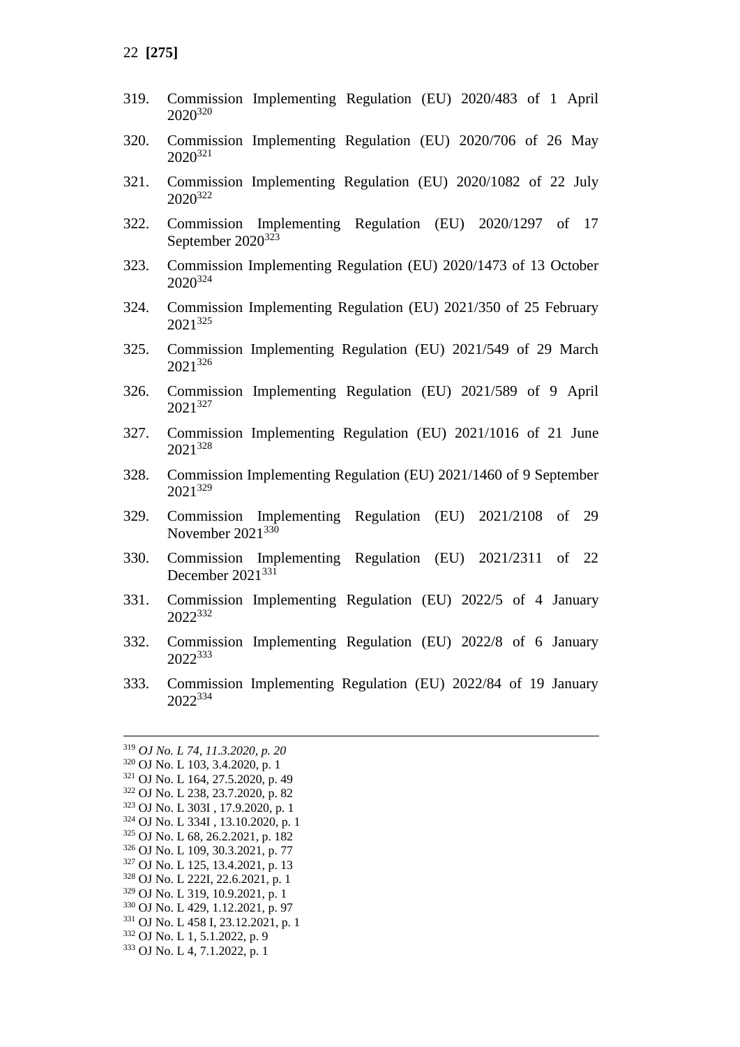- 319. Commission Implementing Regulation (EU) 2020/483 of 1 April 2020<sup>320</sup>
- 320. Commission Implementing Regulation (EU) 2020/706 of 26 May 2020<sup>321</sup>
- 321. Commission Implementing Regulation (EU) 2020/1082 of 22 July 2020<sup>322</sup>
- 322. Commission Implementing Regulation (EU) 2020/1297 of 17 September  $2020^{323}$
- 323. Commission Implementing Regulation (EU) 2020/1473 of 13 October 2020<sup>324</sup>
- 324. Commission Implementing Regulation (EU) 2021/350 of 25 February 2021<sup>325</sup>
- 325. Commission Implementing Regulation (EU) 2021/549 of 29 March 2021<sup>326</sup>
- 326. Commission Implementing Regulation (EU) 2021/589 of 9 April 2021<sup>327</sup>
- 327. Commission Implementing Regulation (EU) 2021/1016 of 21 June 2021<sup>328</sup>
- 328. Commission Implementing Regulation (EU) 2021/1460 of 9 September 2021<sup>329</sup>
- 329. Commission Implementing Regulation (EU) 2021/2108 of 29 November 2021<sup>330</sup>
- 330. Commission Implementing Regulation (EU) 2021/2311 of 22 December 2021<sup>331</sup>
- 331. Commission Implementing Regulation (EU) 2022/5 of 4 January 2022<sup>332</sup>
- 332. Commission Implementing Regulation (EU) 2022/8 of 6 January 2022<sup>333</sup>
- 333. Commission Implementing Regulation (EU) 2022/84 of 19 January 2022<sup>334</sup>

 *OJ No. L 74, 11.3.2020, p. 20* OJ No. L 103, 3.4.2020, p. 1 OJ No. L 164, 27.5.2020, p. 49 OJ No. L 238, 23.7.2020, p. 82 OJ No. L 303I , 17.9.2020, p. 1 OJ No. L 334I , 13.10.2020, p. 1 OJ No. L 68, 26.2.2021, p. 182 OJ No. L 109, 30.3.2021, p. 77 OJ No. L 125, 13.4.2021, p. 13 OJ No. L 222I, 22.6.2021, p. 1 OJ No. L 319, 10.9.2021, p. 1 OJ No. L 429, 1.12.2021, p. 97 OJ No. L 458 I, 23.12.2021, p. 1 OJ No. L 1, 5.1.2022, p. 9 OJ No. L 4, 7.1.2022, p. 1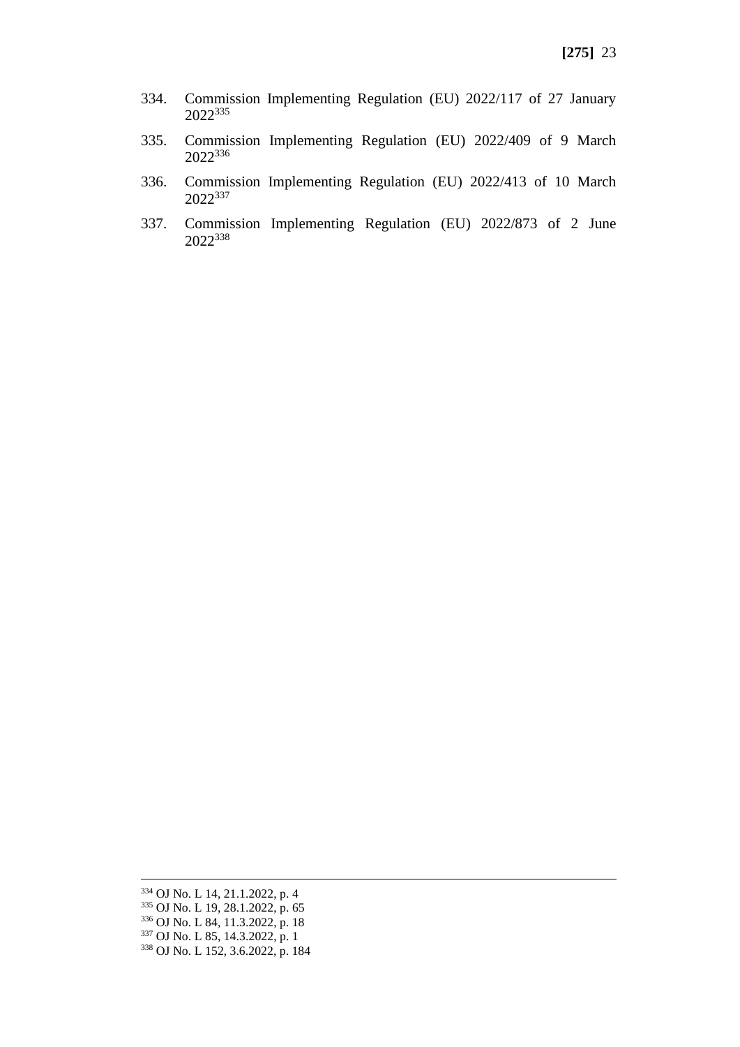- 334. Commission Implementing Regulation (EU) 2022/117 of 27 January <sup>335</sup>
- 335. Commission Implementing Regulation (EU) 2022/409 of 9 March <sup>336</sup>
- 336. Commission Implementing Regulation (EU) 2022/413 of 10 March <sup>337</sup>
- 337. Commission Implementing Regulation (EU) 2022/873 of 2 June <sup>338</sup>

 OJ No. L 14, 21.1.2022, p. 4 OJ No. L 19, 28.1.2022, p. 65 OJ No. L 84, 11.3.2022, p. 18 OJ No. L 85, 14.3.2022, p. 1 OJ No. L 152, 3.6.2022, p. 184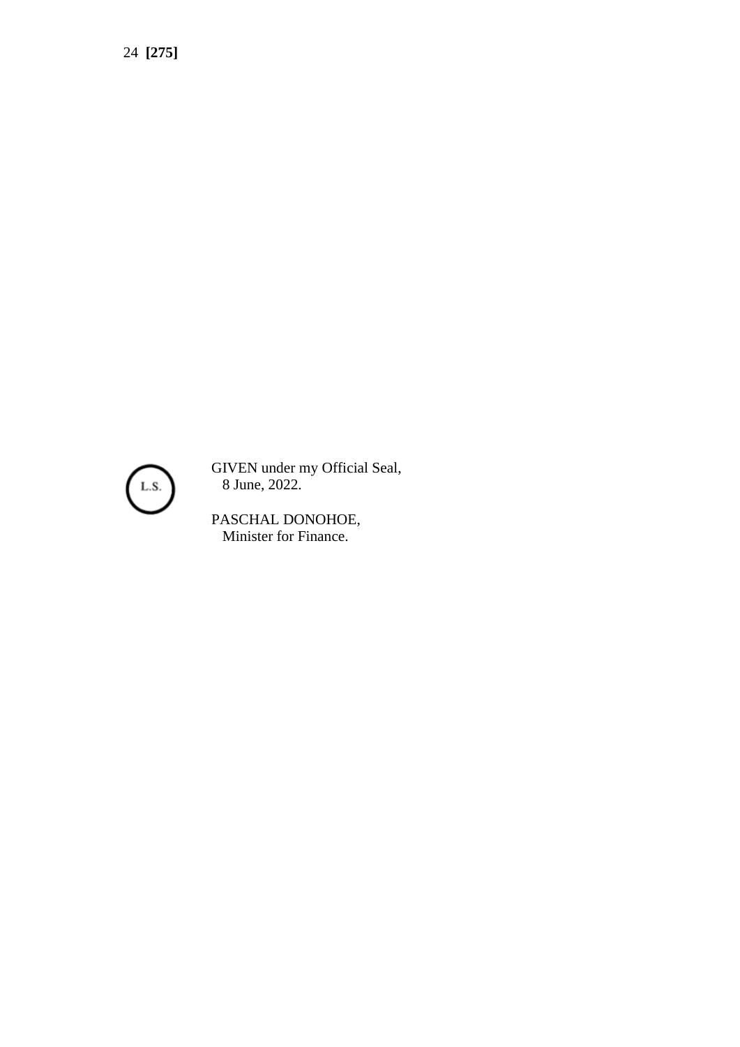

GIVEN under my Official Seal, 8 June, 2022.

PASCHAL DONOHOE, Minister for Finance.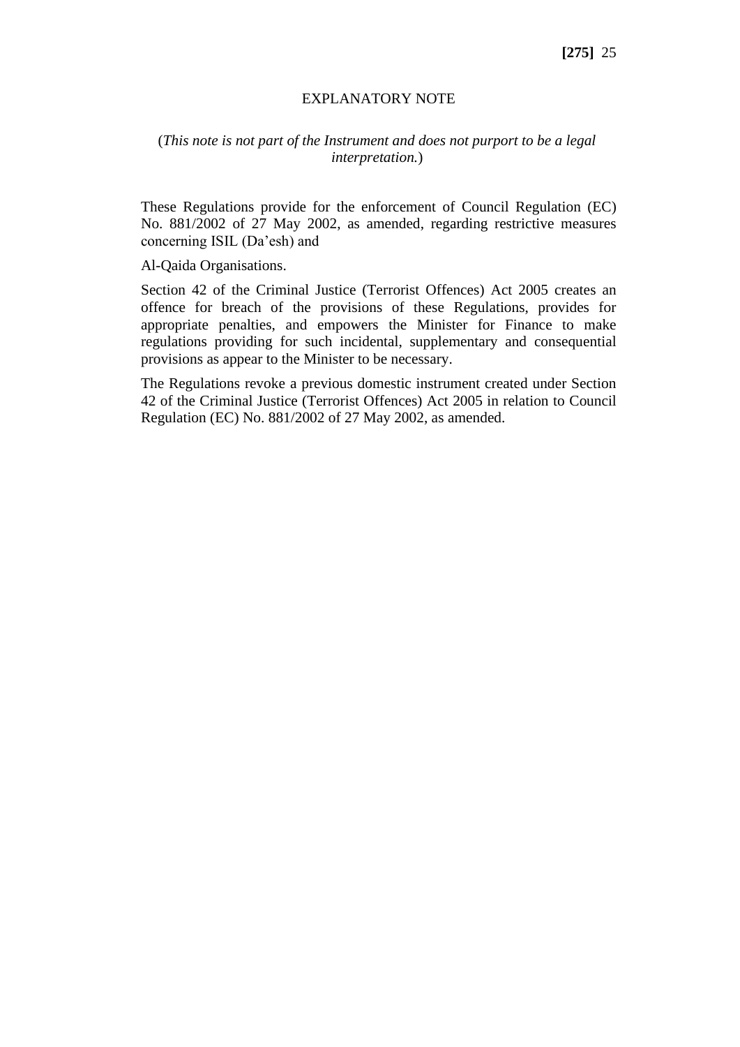#### EXPLANATORY NOTE

#### (*This note is not part of the Instrument and does not purport to be a legal interpretation.*)

These Regulations provide for the enforcement of Council Regulation (EC) No. 881/2002 of 27 May 2002, as amended, regarding restrictive measures concerning ISIL (Da'esh) and

Al-Qaida Organisations.

Section 42 of the Criminal Justice (Terrorist Offences) Act 2005 creates an offence for breach of the provisions of these Regulations, provides for appropriate penalties, and empowers the Minister for Finance to make regulations providing for such incidental, supplementary and consequential provisions as appear to the Minister to be necessary.

The Regulations revoke a previous domestic instrument created under Section 42 of the Criminal Justice (Terrorist Offences) Act 2005 in relation to Council Regulation (EC) No. 881/2002 of 27 May 2002, as amended.